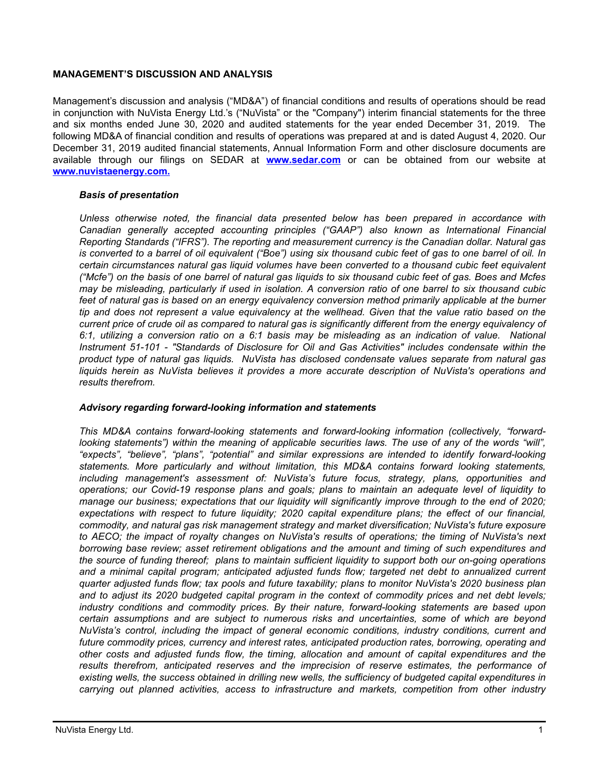#### **MANAGEMENT'S DISCUSSION AND ANALYSIS**

Management's discussion and analysis ("MD&A") of financial conditions and results of operations should be read in conjunction with NuVista Energy Ltd.'s ("NuVista" or the "Company") interim financial statements for the three and six months ended June 30, 2020 and audited statements for the year ended December 31, 2019. The following MD&A of financial condition and results of operations was prepared at and is dated August 4, 2020. Our December 31, 2019 audited financial statements, Annual Information Form and other disclosure documents are available through our filings on SEDAR at **[www.sedar.com](http://www.sedar.com)** or can be obtained from our website at **[www.nuvistaenergy.com](http://www.nuvistaenergy.com).**

#### *Basis of presentation*

*Unless otherwise noted, the financial data presented below has been prepared in accordance with Canadian generally accepted accounting principles ("GAAP") also known as International Financial Reporting Standards ("IFRS"). The reporting and measurement currency is the Canadian dollar. Natural gas is converted to a barrel of oil equivalent ("Boe") using six thousand cubic feet of gas to one barrel of oil. In certain circumstances natural gas liquid volumes have been converted to a thousand cubic feet equivalent ("Mcfe") on the basis of one barrel of natural gas liquids to six thousand cubic feet of gas. Boes and Mcfes may be misleading, particularly if used in isolation. A conversion ratio of one barrel to six thousand cubic*  feet of natural gas is based on an energy equivalency conversion method primarily applicable at the burner *tip and does not represent a value equivalency at the wellhead. Given that the value ratio based on the current price of crude oil as compared to natural gas is significantly different from the energy equivalency of 6:1, utilizing a conversion ratio on a 6:1 basis may be misleading as an indication of value. National Instrument 51-101 - "Standards of Disclosure for Oil and Gas Activities" includes condensate within the product type of natural gas liquids. NuVista has disclosed condensate values separate from natural gas*  liquids herein as NuVista believes it provides a more accurate description of NuVista's operations and *results therefrom.* 

#### *Advisory regarding forward-looking information and statements*

*This MD&A contains forward-looking statements and forward-looking information (collectively, "forwardlooking statements") within the meaning of applicable securities laws. The use of any of the words "will", "expects", "believe", "plans", "potential" and similar expressions are intended to identify forward-looking statements. More particularly and without limitation, this MD&A contains forward looking statements, including management's assessment of: NuVista's future focus, strategy, plans, opportunities and operations; our Covid-19 response plans and goals; plans to maintain an adequate level of liquidity to*  manage our business; expectations that our liquidity will significantly improve through to the end of 2020; *expectations with respect to future liquidity; 2020 capital expenditure plans; the effect of our financial, commodity, and natural gas risk management strategy and market diversification; NuVista's future exposure to AECO; the impact of royalty changes on NuVista's results of operations; the timing of NuVista's next borrowing base review; asset retirement obligations and the amount and timing of such expenditures and the source of funding thereof; plans to maintain sufficient liquidity to support both our on-going operations and a minimal capital program; anticipated adjusted funds flow; targeted net debt to annualized current quarter adjusted funds flow; tax pools and future taxability; plans to monitor NuVista's 2020 business plan and to adjust its 2020 budgeted capital program in the context of commodity prices and net debt levels; industry conditions and commodity prices. By their nature, forward-looking statements are based upon certain assumptions and are subject to numerous risks and uncertainties, some of which are beyond NuVista's control, including the impact of general economic conditions, industry conditions, current and future commodity prices, currency and interest rates, anticipated production rates, borrowing, operating and other costs and adjusted funds flow, the timing, allocation and amount of capital expenditures and the results therefrom, anticipated reserves and the imprecision of reserve estimates, the performance of existing wells, the success obtained in drilling new wells, the sufficiency of budgeted capital expenditures in carrying out planned activities, access to infrastructure and markets, competition from other industry*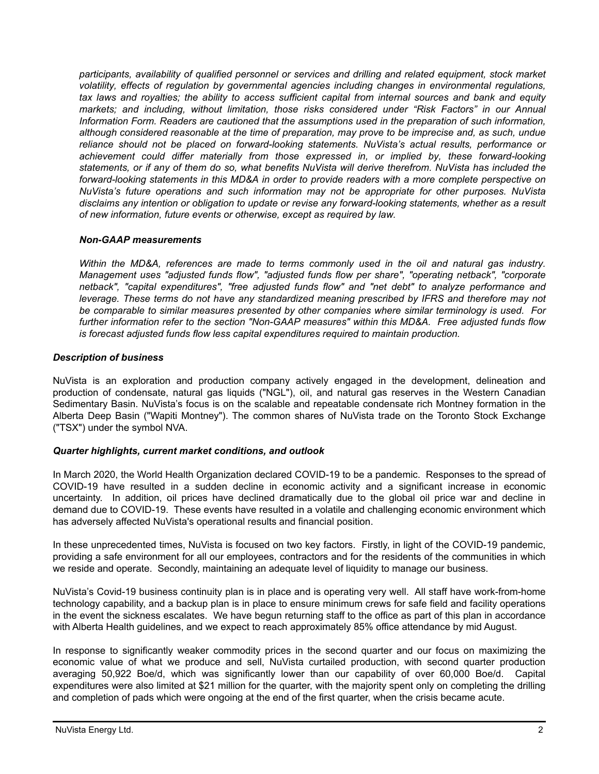*participants, availability of qualified personnel or services and drilling and related equipment, stock market volatility, effects of regulation by governmental agencies including changes in environmental regulations, tax laws and royalties; the ability to access sufficient capital from internal sources and bank and equity markets; and including, without limitation, those risks considered under "Risk Factors" in our Annual Information Form. Readers are cautioned that the assumptions used in the preparation of such information, although considered reasonable at the time of preparation, may prove to be imprecise and, as such, undue reliance should not be placed on forward-looking statements. NuVista's actual results, performance or achievement could differ materially from those expressed in, or implied by, these forward-looking statements, or if any of them do so, what benefits NuVista will derive therefrom. NuVista has included the forward-looking statements in this MD&A in order to provide readers with a more complete perspective on NuVista's future operations and such information may not be appropriate for other purposes. NuVista disclaims any intention or obligation to update or revise any forward-looking statements, whether as a result of new information, future events or otherwise, except as required by law.*

# *Non-GAAP measurements*

*Within the MD&A, references are made to terms commonly used in the oil and natural gas industry. Management uses "adjusted funds flow", "adjusted funds flow per share", "operating netback", "corporate netback", "capital expenditures", "free adjusted funds flow" and "net debt" to analyze performance and leverage. These terms do not have any standardized meaning prescribed by IFRS and therefore may not be comparable to similar measures presented by other companies where similar terminology is used. For further information refer to the section "Non-GAAP measures" within this MD&A. Free adjusted funds flow is forecast adjusted funds flow less capital expenditures required to maintain production.* 

# *Description of business*

NuVista is an exploration and production company actively engaged in the development, delineation and production of condensate, natural gas liquids ("NGL"), oil, and natural gas reserves in the Western Canadian Sedimentary Basin. NuVista's focus is on the scalable and repeatable condensate rich Montney formation in the Alberta Deep Basin ("Wapiti Montney"). The common shares of NuVista trade on the Toronto Stock Exchange ("TSX") under the symbol NVA.

# *Quarter highlights, current market conditions, and outlook*

In March 2020, the World Health Organization declared COVID-19 to be a pandemic. Responses to the spread of COVID-19 have resulted in a sudden decline in economic activity and a significant increase in economic uncertainty. In addition, oil prices have declined dramatically due to the global oil price war and decline in demand due to COVID-19. These events have resulted in a volatile and challenging economic environment which has adversely affected NuVista's operational results and financial position.

In these unprecedented times, NuVista is focused on two key factors. Firstly, in light of the COVID-19 pandemic, providing a safe environment for all our employees, contractors and for the residents of the communities in which we reside and operate. Secondly, maintaining an adequate level of liquidity to manage our business.

NuVista's Covid-19 business continuity plan is in place and is operating very well. All staff have work-from-home technology capability, and a backup plan is in place to ensure minimum crews for safe field and facility operations in the event the sickness escalates. We have begun returning staff to the office as part of this plan in accordance with Alberta Health guidelines, and we expect to reach approximately 85% office attendance by mid August.

In response to significantly weaker commodity prices in the second quarter and our focus on maximizing the economic value of what we produce and sell, NuVista curtailed production, with second quarter production averaging 50,922 Boe/d, which was significantly lower than our capability of over 60,000 Boe/d. Capital expenditures were also limited at \$21 million for the quarter, with the majority spent only on completing the drilling and completion of pads which were ongoing at the end of the first quarter, when the crisis became acute.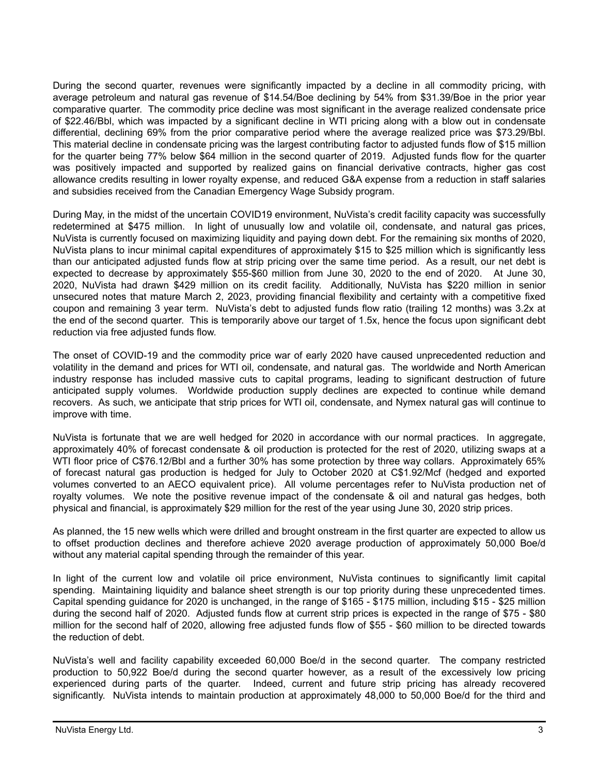During the second quarter, revenues were significantly impacted by a decline in all commodity pricing, with average petroleum and natural gas revenue of \$14.54/Boe declining by 54% from \$31.39/Boe in the prior year comparative quarter. The commodity price decline was most significant in the average realized condensate price of \$22.46/Bbl, which was impacted by a significant decline in WTI pricing along with a blow out in condensate differential, declining 69% from the prior comparative period where the average realized price was \$73.29/Bbl. This material decline in condensate pricing was the largest contributing factor to adjusted funds flow of \$15 million for the quarter being 77% below \$64 million in the second quarter of 2019. Adjusted funds flow for the quarter was positively impacted and supported by realized gains on financial derivative contracts, higher gas cost allowance credits resulting in lower royalty expense, and reduced G&A expense from a reduction in staff salaries and subsidies received from the Canadian Emergency Wage Subsidy program.

During May, in the midst of the uncertain COVID19 environment, NuVista's credit facility capacity was successfully redetermined at \$475 million. In light of unusually low and volatile oil, condensate, and natural gas prices, NuVista is currently focused on maximizing liquidity and paying down debt. For the remaining six months of 2020, NuVista plans to incur minimal capital expenditures of approximately \$15 to \$25 million which is significantly less than our anticipated adjusted funds flow at strip pricing over the same time period. As a result, our net debt is expected to decrease by approximately \$55-\$60 million from June 30, 2020 to the end of 2020. At June 30, 2020, NuVista had drawn \$429 million on its credit facility. Additionally, NuVista has \$220 million in senior unsecured notes that mature March 2, 2023, providing financial flexibility and certainty with a competitive fixed coupon and remaining 3 year term. NuVista's debt to adjusted funds flow ratio (trailing 12 months) was 3.2x at the end of the second quarter. This is temporarily above our target of 1.5x, hence the focus upon significant debt reduction via free adjusted funds flow.

The onset of COVID-19 and the commodity price war of early 2020 have caused unprecedented reduction and volatility in the demand and prices for WTI oil, condensate, and natural gas. The worldwide and North American industry response has included massive cuts to capital programs, leading to significant destruction of future anticipated supply volumes. Worldwide production supply declines are expected to continue while demand recovers. As such, we anticipate that strip prices for WTI oil, condensate, and Nymex natural gas will continue to improve with time.

NuVista is fortunate that we are well hedged for 2020 in accordance with our normal practices. In aggregate, approximately 40% of forecast condensate & oil production is protected for the rest of 2020, utilizing swaps at a WTI floor price of C\$76.12/Bbl and a further 30% has some protection by three way collars. Approximately 65% of forecast natural gas production is hedged for July to October 2020 at C\$1.92/Mcf (hedged and exported volumes converted to an AECO equivalent price). All volume percentages refer to NuVista production net of royalty volumes. We note the positive revenue impact of the condensate & oil and natural gas hedges, both physical and financial, is approximately \$29 million for the rest of the year using June 30, 2020 strip prices.

As planned, the 15 new wells which were drilled and brought onstream in the first quarter are expected to allow us to offset production declines and therefore achieve 2020 average production of approximately 50,000 Boe/d without any material capital spending through the remainder of this year.

In light of the current low and volatile oil price environment, NuVista continues to significantly limit capital spending. Maintaining liquidity and balance sheet strength is our top priority during these unprecedented times. Capital spending guidance for 2020 is unchanged, in the range of \$165 - \$175 million, including \$15 - \$25 million during the second half of 2020. Adjusted funds flow at current strip prices is expected in the range of \$75 - \$80 million for the second half of 2020, allowing free adjusted funds flow of \$55 - \$60 million to be directed towards the reduction of debt.

NuVista's well and facility capability exceeded 60,000 Boe/d in the second quarter. The company restricted production to 50,922 Boe/d during the second quarter however, as a result of the excessively low pricing experienced during parts of the quarter. Indeed, current and future strip pricing has already recovered significantly. NuVista intends to maintain production at approximately 48,000 to 50,000 Boe/d for the third and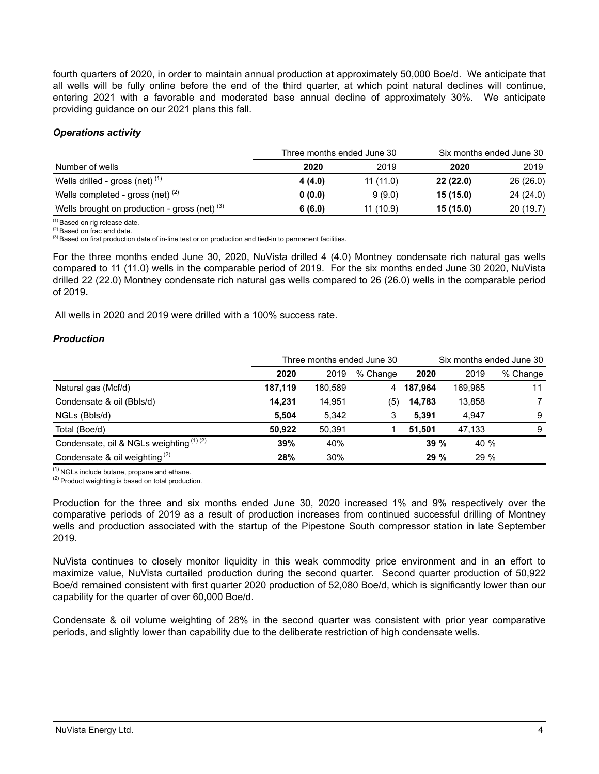fourth quarters of 2020, in order to maintain annual production at approximately 50,000 Boe/d. We anticipate that all wells will be fully online before the end of the third quarter, at which point natural declines will continue, entering 2021 with a favorable and moderated base annual decline of approximately 30%. We anticipate providing guidance on our 2021 plans this fall.

# *Operations activity*

|                                                 | Three months ended June 30 |          | Six months ended June 30 |           |  |
|-------------------------------------------------|----------------------------|----------|--------------------------|-----------|--|
| Number of wells                                 | 2020                       | 2019     | 2020                     | 2019      |  |
| Wells drilled - gross (net) $(1)$               | 4 (4.0)                    | 11(11.0) | 22(22.0)                 | 26 (26.0) |  |
| Wells completed - gross (net) $(2)$             | 0(0.0)                     | 9(9.0)   | 15(15.0)                 | 24 (24.0) |  |
| Wells brought on production - gross (net) $(3)$ | 6(6.0)                     | 11(10.9) | 15 (15.0)                | 20(19.7)  |  |

(1) Based on rig release date.  $(2)$  Based on frac end date.

 $^{(3)}$  Based on first production date of in-line test or on production and tied-in to permanent facilities.

For the three months ended June 30, 2020, NuVista drilled 4 (4.0) Montney condensate rich natural gas wells compared to 11 (11.0) wells in the comparable period of 2019. For the six months ended June 30 2020, NuVista drilled 22 (22.0) Montney condensate rich natural gas wells compared to 26 (26.0) wells in the comparable period of 2019**.**

All wells in 2020 and 2019 were drilled with a 100% success rate.

# *Production*

|                                          |         | Three months ended June 30 | Six months ended June 30 |         |         |          |
|------------------------------------------|---------|----------------------------|--------------------------|---------|---------|----------|
|                                          | 2020    | 2019                       | % Change                 | 2020    | 2019    | % Change |
| Natural gas (Mcf/d)                      | 187,119 | 180,589                    | 4                        | 187.964 | 169,965 | 11       |
| Condensate & oil (Bbls/d)                | 14.231  | 14,951                     | (5)                      | 14,783  | 13,858  |          |
| NGLs (Bbls/d)                            | 5,504   | 5,342                      | 3                        | 5,391   | 4,947   | 9        |
| Total (Boe/d)                            | 50.922  | 50,391                     |                          | 51.501  | 47,133  | 9        |
| Condensate, oil & NGLs weighting (1) (2) | 39%     | 40%                        |                          | 39%     | 40 %    |          |
| Condensate & oil weighting $(2)$         | 28%     | 30%                        |                          | 29 %    | 29 %    |          |

 $(1)$  NGLs include butane, propane and ethane.

<sup>(2)</sup> Product weighting is based on total production.

Production for the three and six months ended June 30, 2020 increased 1% and 9% respectively over the comparative periods of 2019 as a result of production increases from continued successful drilling of Montney wells and production associated with the startup of the Pipestone South compressor station in late September 2019.

NuVista continues to closely monitor liquidity in this weak commodity price environment and in an effort to maximize value, NuVista curtailed production during the second quarter. Second quarter production of 50,922 Boe/d remained consistent with first quarter 2020 production of 52,080 Boe/d, which is significantly lower than our capability for the quarter of over 60,000 Boe/d.

Condensate & oil volume weighting of 28% in the second quarter was consistent with prior year comparative periods, and slightly lower than capability due to the deliberate restriction of high condensate wells.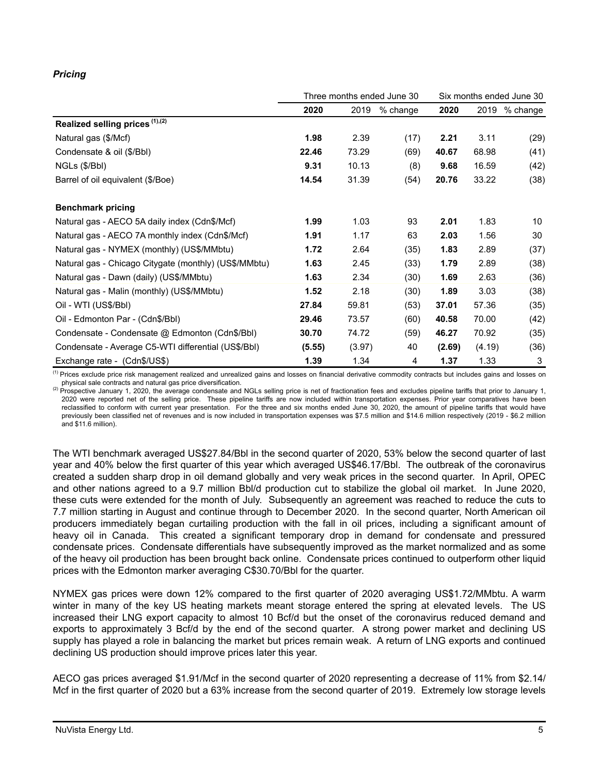# *Pricing*

|                                                       | Three months ended June 30 |        |          | Six months ended June 30 |        |          |
|-------------------------------------------------------|----------------------------|--------|----------|--------------------------|--------|----------|
|                                                       | 2020                       | 2019   | % change | 2020                     | 2019   | % change |
| Realized selling prices (1),(2)                       |                            |        |          |                          |        |          |
| Natural gas (\$/Mcf)                                  | 1.98                       | 2.39   | (17)     | 2.21                     | 3.11   | (29)     |
| Condensate & oil (\$/Bbl)                             | 22.46                      | 73.29  | (69)     | 40.67                    | 68.98  | (41)     |
| NGLs (\$/Bbl)                                         | 9.31                       | 10.13  | (8)      | 9.68                     | 16.59  | (42)     |
| Barrel of oil equivalent (\$/Boe)                     | 14.54                      | 31.39  | (54)     | 20.76                    | 33.22  | (38)     |
| <b>Benchmark pricing</b>                              |                            |        |          |                          |        |          |
| Natural gas - AECO 5A daily index (Cdn\$/Mcf)         | 1.99                       | 1.03   | 93       | 2.01                     | 1.83   | 10       |
| Natural gas - AECO 7A monthly index (Cdn\$/Mcf)       | 1.91                       | 1.17   | 63       | 2.03                     | 1.56   | 30       |
| Natural gas - NYMEX (monthly) (US\$/MMbtu)            | 1.72                       | 2.64   | (35)     | 1.83                     | 2.89   | (37)     |
| Natural gas - Chicago Citygate (monthly) (US\$/MMbtu) | 1.63                       | 2.45   | (33)     | 1.79                     | 2.89   | (38)     |
| Natural gas - Dawn (daily) (US\$/MMbtu)               | 1.63                       | 2.34   | (30)     | 1.69                     | 2.63   | (36)     |
| Natural gas - Malin (monthly) (US\$/MMbtu)            | 1.52                       | 2.18   | (30)     | 1.89                     | 3.03   | (38)     |
| Oil - WTI (US\$/BbI)                                  | 27.84                      | 59.81  | (53)     | 37.01                    | 57.36  | (35)     |
| Oil - Edmonton Par - (Cdn\$/Bbl)                      | 29.46                      | 73.57  | (60)     | 40.58                    | 70.00  | (42)     |
| Condensate - Condensate @ Edmonton (Cdn\$/Bbl)        | 30.70                      | 74.72  | (59)     | 46.27                    | 70.92  | (35)     |
| Condensate - Average C5-WTI differential (US\$/BbI)   | (5.55)                     | (3.97) | 40       | (2.69)                   | (4.19) | (36)     |
| Exchange rate - (Cdn\$/US\$)                          | 1.39                       | 1.34   | 4        | 1.37                     | 1.33   | 3        |

<sup>(1)</sup> Prices exclude price risk management realized and unrealized gains and losses on financial derivative commodity contracts but includes gains and losses on physical sale contracts and natural gas price diversification.

(2) Prospective January 1, 2020, the average condensate and NGLs selling price is net of fractionation fees and excludes pipeline tariffs that prior to January 1, 2020 were reported net of the selling price. These pipeline tariffs are now included within transportation expenses. Prior year comparatives have been reclassified to conform with current year presentation. For the three and six months ended June 30, 2020, the amount of pipeline tariffs that would have previously been classified net of revenues and is now included in transportation expenses was \$7.5 million and \$14.6 million respectively (2019 - \$6.2 million and \$11.6 million).

The WTI benchmark averaged US\$27.84/Bbl in the second quarter of 2020, 53% below the second quarter of last year and 40% below the first quarter of this year which averaged US\$46.17/Bbl. The outbreak of the coronavirus created a sudden sharp drop in oil demand globally and very weak prices in the second quarter. In April, OPEC and other nations agreed to a 9.7 million Bbl/d production cut to stabilize the global oil market. In June 2020, these cuts were extended for the month of July. Subsequently an agreement was reached to reduce the cuts to 7.7 million starting in August and continue through to December 2020. In the second quarter, North American oil producers immediately began curtailing production with the fall in oil prices, including a significant amount of heavy oil in Canada. This created a significant temporary drop in demand for condensate and pressured condensate prices. Condensate differentials have subsequently improved as the market normalized and as some of the heavy oil production has been brought back online. Condensate prices continued to outperform other liquid prices with the Edmonton marker averaging C\$30.70/Bbl for the quarter.

NYMEX gas prices were down 12% compared to the first quarter of 2020 averaging US\$1.72/MMbtu. A warm winter in many of the key US heating markets meant storage entered the spring at elevated levels. The US increased their LNG export capacity to almost 10 Bcf/d but the onset of the coronavirus reduced demand and exports to approximately 3 Bcf/d by the end of the second quarter. A strong power market and declining US supply has played a role in balancing the market but prices remain weak. A return of LNG exports and continued declining US production should improve prices later this year.

AECO gas prices averaged \$1.91/Mcf in the second quarter of 2020 representing a decrease of 11% from \$2.14/ Mcf in the first quarter of 2020 but a 63% increase from the second quarter of 2019. Extremely low storage levels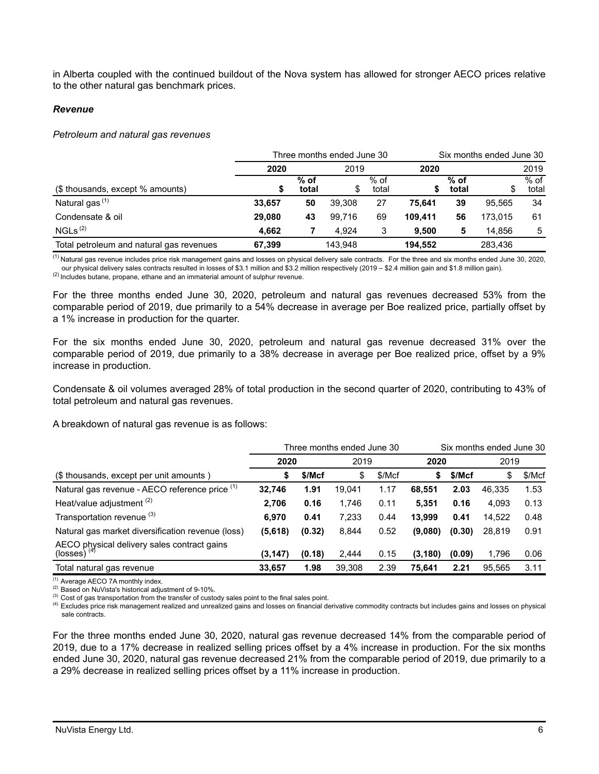in Alberta coupled with the continued buildout of the Nova system has allowed for stronger AECO prices relative to the other natural gas benchmark prices.

#### *Revenue*

#### *Petroleum and natural gas revenues*

|                                          | Three months ended June 30 |                 |         |                 |         | Six months ended June 30 |         |                 |  |
|------------------------------------------|----------------------------|-----------------|---------|-----------------|---------|--------------------------|---------|-----------------|--|
|                                          | 2020                       |                 | 2019    |                 | 2020    |                          |         | 2019            |  |
| (\$ thousands, except % amounts)         | Ð                          | $%$ of<br>total | \$      | $%$ of<br>total | D       | $%$ of<br>total          |         | $%$ of<br>total |  |
| Natural gas <sup>(1)</sup>               | 33,657                     | 50              | 39.308  | 27              | 75.641  | 39                       | 95.565  | 34              |  |
| Condensate & oil                         | 29.080                     | 43              | 99.716  | 69              | 109.411 | 56                       | 173.015 | 61              |  |
| NGLs <sup>(2)</sup>                      | 4,662                      |                 | 4.924   | 3               | 9.500   | 5                        | 14.856  | 5               |  |
| Total petroleum and natural gas revenues | 67,399                     |                 | 143.948 |                 | 194.552 |                          | 283.436 |                 |  |

<sup>(1)</sup> Natural gas revenue includes price risk management gains and losses on physical delivery sale contracts. For the three and six months ended June 30, 2020, our physical delivery sales contracts resulted in losses of \$3.1 million and \$3.2 million respectively (2019 – \$2.4 million gain and \$1.8 million gain).

(2) Includes butane, propane, ethane and an immaterial amount of sulphur revenue.

For the three months ended June 30, 2020, petroleum and natural gas revenues decreased 53% from the comparable period of 2019, due primarily to a 54% decrease in average per Boe realized price, partially offset by a 1% increase in production for the quarter.

For the six months ended June 30, 2020, petroleum and natural gas revenue decreased 31% over the comparable period of 2019, due primarily to a 38% decrease in average per Boe realized price, offset by a 9% increase in production.

Condensate & oil volumes averaged 28% of total production in the second quarter of 2020, contributing to 43% of total petroleum and natural gas revenues.

A breakdown of natural gas revenue is as follows:

|                                                            | Three months ended June 30 |        |        |        | Six months ended June 30 |        |        |        |
|------------------------------------------------------------|----------------------------|--------|--------|--------|--------------------------|--------|--------|--------|
|                                                            | 2020                       |        | 2019   | 2020   |                          |        | 2019   |        |
| (\$ thousands, except per unit amounts)                    | S                          | \$/Mcf | \$     | \$/Mcf | S                        | \$/Mcf | S      | \$/Mcf |
| Natural gas revenue - AECO reference price (1)             | 32,746                     | 1.91   | 19.041 | 1.17   | 68,551                   | 2.03   | 46.335 | 1.53   |
| Heat/value adjustment <sup>(2)</sup>                       | 2,706                      | 0.16   | 1.746  | 0.11   | 5.351                    | 0.16   | 4.093  | 0.13   |
| Transportation revenue (3)                                 | 6.970                      | 0.41   | 7,233  | 0.44   | 13.999                   | 0.41   | 14,522 | 0.48   |
| Natural gas market diversification revenue (loss)          | (5,618)                    | (0.32) | 8,844  | 0.52   | (9,080)                  | (0.30) | 28.819 | 0.91   |
| AECO physical delivery sales contract gains (losses) $(4)$ | (3, 147)                   | (0.18) | 2,444  | 0.15   | (3, 180)                 | (0.09) | 1,796  | 0.06   |
| Total natural gas revenue                                  | 33.657                     | 1.98   | 39.308 | 2.39   | 75.641                   | 2.21   | 95.565 | 3.11   |

(1) Average AECO 7A monthly index.

(2) Based on NuVista's historical adjustment of 9-10%.

<sup>(3)</sup> Cost of gas transportation from the transfer of custody sales point to the final sales point.

<sup>(4)</sup> Excludes price risk management realized and unrealized gains and losses on financial derivative commodity contracts but includes gains and losses on physical sale contracts.

For the three months ended June 30, 2020, natural gas revenue decreased 14% from the comparable period of 2019, due to a 17% decrease in realized selling prices offset by a 4% increase in production. For the six months ended June 30, 2020, natural gas revenue decreased 21% from the comparable period of 2019, due primarily to a a 29% decrease in realized selling prices offset by a 11% increase in production.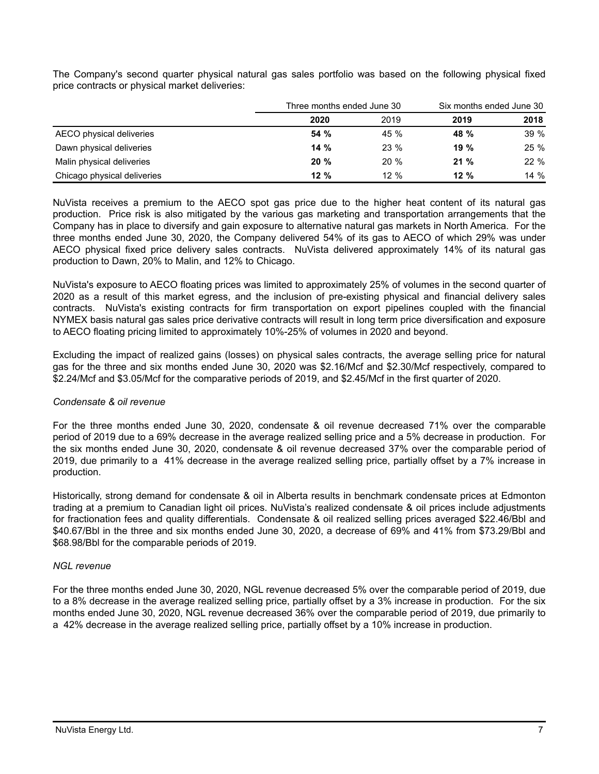|                             |         | Three months ended June 30 |      | Six months ended June 30 |  |
|-----------------------------|---------|----------------------------|------|--------------------------|--|
|                             | 2020    | 2019                       | 2019 | 2018                     |  |
| AECO physical deliveries    | 54 %    | 45%                        | 48 % | 39%                      |  |
| Dawn physical deliveries    | 14%     | $23\%$                     | 19%  | 25%                      |  |
| Malin physical deliveries   | $20 \%$ | $20\%$                     | 21%  | 22%                      |  |
| Chicago physical deliveries | 12%     | $12 \%$                    | 12%  | $14\%$                   |  |

The Company's second quarter physical natural gas sales portfolio was based on the following physical fixed price contracts or physical market deliveries:

NuVista receives a premium to the AECO spot gas price due to the higher heat content of its natural gas production. Price risk is also mitigated by the various gas marketing and transportation arrangements that the Company has in place to diversify and gain exposure to alternative natural gas markets in North America. For the three months ended June 30, 2020, the Company delivered 54% of its gas to AECO of which 29% was under AECO physical fixed price delivery sales contracts. NuVista delivered approximately 14% of its natural gas production to Dawn, 20% to Malin, and 12% to Chicago.

NuVista's exposure to AECO floating prices was limited to approximately 25% of volumes in the second quarter of 2020 as a result of this market egress, and the inclusion of pre-existing physical and financial delivery sales contracts. NuVista's existing contracts for firm transportation on export pipelines coupled with the financial NYMEX basis natural gas sales price derivative contracts will result in long term price diversification and exposure to AECO floating pricing limited to approximately 10%-25% of volumes in 2020 and beyond.

Excluding the impact of realized gains (losses) on physical sales contracts, the average selling price for natural gas for the three and six months ended June 30, 2020 was \$2.16/Mcf and \$2.30/Mcf respectively, compared to \$2.24/Mcf and \$3.05/Mcf for the comparative periods of 2019, and \$2.45/Mcf in the first quarter of 2020.

# *Condensate & oil revenue*

For the three months ended June 30, 2020, condensate & oil revenue decreased 71% over the comparable period of 2019 due to a 69% decrease in the average realized selling price and a 5% decrease in production. For the six months ended June 30, 2020, condensate & oil revenue decreased 37% over the comparable period of 2019, due primarily to a 41% decrease in the average realized selling price, partially offset by a 7% increase in production.

Historically, strong demand for condensate & oil in Alberta results in benchmark condensate prices at Edmonton trading at a premium to Canadian light oil prices. NuVista's realized condensate & oil prices include adjustments for fractionation fees and quality differentials. Condensate & oil realized selling prices averaged \$22.46/Bbl and \$40.67/Bbl in the three and six months ended June 30, 2020, a decrease of 69% and 41% from \$73.29/Bbl and \$68.98/Bbl for the comparable periods of 2019.

# *NGL revenue*

For the three months ended June 30, 2020, NGL revenue decreased 5% over the comparable period of 2019, due to a 8% decrease in the average realized selling price, partially offset by a 3% increase in production. For the six months ended June 30, 2020, NGL revenue decreased 36% over the comparable period of 2019, due primarily to a 42% decrease in the average realized selling price, partially offset by a 10% increase in production.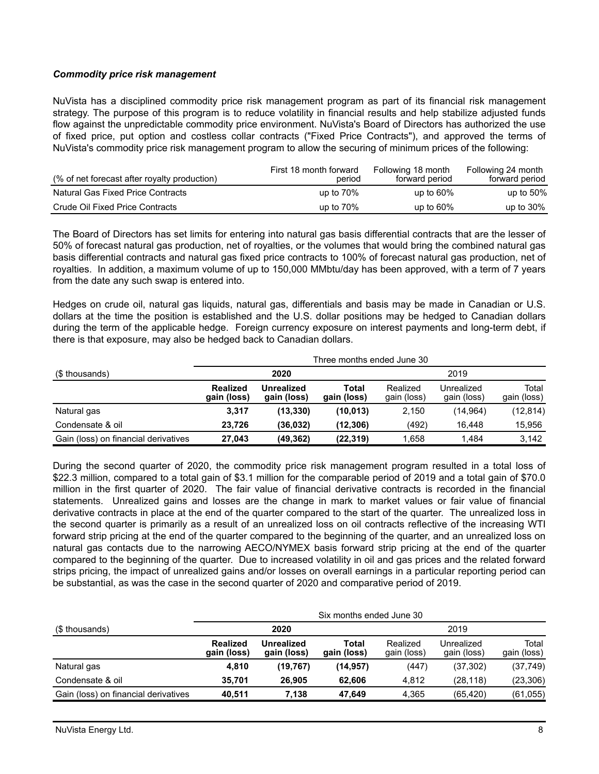#### *Commodity price risk management*

NuVista has a disciplined commodity price risk management program as part of its financial risk management strategy. The purpose of this program is to reduce volatility in financial results and help stabilize adjusted funds flow against the unpredictable commodity price environment. NuVista's Board of Directors has authorized the use of fixed price, put option and costless collar contracts ("Fixed Price Contracts"), and approved the terms of NuVista's commodity price risk management program to allow the securing of minimum prices of the following:

| (% of net forecast after royalty production) | First 18 month forward<br>period | Following 18 month<br>forward period | Following 24 month<br>forward period |
|----------------------------------------------|----------------------------------|--------------------------------------|--------------------------------------|
| <b>Natural Gas Fixed Price Contracts</b>     | up to $70\%$                     | up to $60\%$                         | up to $50\%$                         |
| Crude Oil Fixed Price Contracts              | up to $70\%$                     | up to $60\%$                         | up to $30\%$                         |

The Board of Directors has set limits for entering into natural gas basis differential contracts that are the lesser of 50% of forecast natural gas production, net of royalties, or the volumes that would bring the combined natural gas basis differential contracts and natural gas fixed price contracts to 100% of forecast natural gas production, net of royalties. In addition, a maximum volume of up to 150,000 MMbtu/day has been approved, with a term of 7 years from the date any such swap is entered into.

Hedges on crude oil, natural gas liquids, natural gas, differentials and basis may be made in Canadian or U.S. dollars at the time the position is established and the U.S. dollar positions may be hedged to Canadian dollars during the term of the applicable hedge. Foreign currency exposure on interest payments and long-term debt, if there is that exposure, may also be hedged back to Canadian dollars.

|                                      | Three months ended June 30     |                           |                      |                         |                           |                      |  |
|--------------------------------------|--------------------------------|---------------------------|----------------------|-------------------------|---------------------------|----------------------|--|
| (\$ thousands)                       |                                | 2020                      |                      | 2019                    |                           |                      |  |
|                                      | <b>Realized</b><br>gain (loss) | Unrealized<br>gain (loss) | Total<br>gain (loss) | Realized<br>gain (loss) | Unrealized<br>gain (loss) | Total<br>gain (loss) |  |
| Natural gas                          | 3,317                          | (13, 330)                 | (10, 013)            | 2,150                   | (14,964)                  | (12, 814)            |  |
| Condensate & oil                     | 23.726                         | (36, 032)                 | (12, 306)            | (492)                   | 16.448                    | 15,956               |  |
| Gain (loss) on financial derivatives | 27,043                         | (49, 362)                 | (22, 319)            | 1.658                   | 1.484                     | 3.142                |  |

During the second quarter of 2020, the commodity price risk management program resulted in a total loss of \$22.3 million, compared to a total gain of \$3.1 million for the comparable period of 2019 and a total gain of \$70.0 million in the first quarter of 2020. The fair value of financial derivative contracts is recorded in the financial statements. Unrealized gains and losses are the change in mark to market values or fair value of financial derivative contracts in place at the end of the quarter compared to the start of the quarter. The unrealized loss in the second quarter is primarily as a result of an unrealized loss on oil contracts reflective of the increasing WTI forward strip pricing at the end of the quarter compared to the beginning of the quarter, and an unrealized loss on natural gas contacts due to the narrowing AECO/NYMEX basis forward strip pricing at the end of the quarter compared to the beginning of the quarter. Due to increased volatility in oil and gas prices and the related forward strips pricing, the impact of unrealized gains and/or losses on overall earnings in a particular reporting period can be substantial, as was the case in the second quarter of 2020 and comparative period of 2019.

|                                      | Six months ended June 30       |                           |                      |                         |                           |                      |  |
|--------------------------------------|--------------------------------|---------------------------|----------------------|-------------------------|---------------------------|----------------------|--|
| (\$ thousands)                       |                                | 2020                      |                      |                         | 2019                      |                      |  |
|                                      | <b>Realized</b><br>gain (loss) | Unrealized<br>gain (loss) | Total<br>gain (loss) | Realized<br>gain (loss) | Unrealized<br>gain (loss) | Total<br>gain (loss) |  |
| Natural gas                          | 4,810                          | (19, 767)                 | (14, 957)            | (447)                   | (37, 302)                 | (37, 749)            |  |
| Condensate & oil                     | 35.701                         | 26.905                    | 62.606               | 4.812                   | (28, 118)                 | (23, 306)            |  |
| Gain (loss) on financial derivatives | 40.511                         | 7.138                     | 47.649               | 4.365                   | (65, 420)                 | (61, 055)            |  |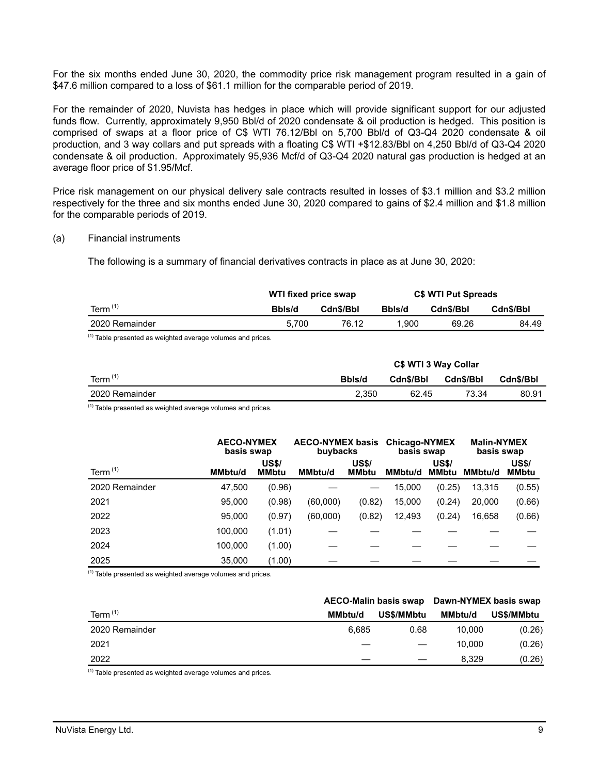For the six months ended June 30, 2020, the commodity price risk management program resulted in a gain of \$47.6 million compared to a loss of \$61.1 million for the comparable period of 2019.

For the remainder of 2020, Nuvista has hedges in place which will provide significant support for our adjusted funds flow. Currently, approximately 9,950 Bbl/d of 2020 condensate & oil production is hedged. This position is comprised of swaps at a floor price of C\$ WTI 76.12/Bbl on 5,700 Bbl/d of Q3-Q4 2020 condensate & oil production, and 3 way collars and put spreads with a floating C\$ WTI +\$12.83/Bbl on 4,250 Bbl/d of Q3-Q4 2020 condensate & oil production. Approximately 95,936 Mcf/d of Q3-Q4 2020 natural gas production is hedged at an average floor price of \$1.95/Mcf.

Price risk management on our physical delivery sale contracts resulted in losses of \$3.1 million and \$3.2 million respectively for the three and six months ended June 30, 2020 compared to gains of \$2.4 million and \$1.8 million for the comparable periods of 2019.

#### (a) Financial instruments

The following is a summary of financial derivatives contracts in place as at June 30, 2020:

|                | WTI fixed price swap |       | <b>C\$ WTI Put Spreads</b> |       |           |
|----------------|----------------------|-------|----------------------------|-------|-----------|
| Term $(1)$     | Cdn\$/Bbl<br>Bbls/d  |       | Cdn\$/Bbl<br>Bbls/d        |       | Cdn\$/Bbl |
| 2020 Remainder | 5.700                | 76.12 | 1.900                      | 69.26 | 84.49     |

 $<sup>(1)</sup>$  Table presented as weighted average volumes and prices.</sup>

|                | C\$ WTI 3 Way Collar |           |           |           |  |
|----------------|----------------------|-----------|-----------|-----------|--|
| Term $(1)$     | Bbls/d               | Cdn\$/Bbl | Cdn\$/Bbl | Cdn\$/Bbl |  |
| 2020 Remainder | 2,350                | 62.45     | 73.34     | 80.91     |  |

 $<sup>(1)</sup>$  Table presented as weighted average volumes and prices.</sup>

|                | <b>AECO-NYMEX</b><br>basis swap |                              | <b>AECO-NYMEX basis</b><br>buybacks |                              | <b>Chicago-NYMEX</b><br>basis swap |                              | <b>Malin-NYMEX</b><br>basis swap |                              |
|----------------|---------------------------------|------------------------------|-------------------------------------|------------------------------|------------------------------------|------------------------------|----------------------------------|------------------------------|
| Term $(1)$     | <b>MMbtu/d</b>                  | <b>US\$/</b><br><b>MMbtu</b> | <b>MMbtu/d</b>                      | <b>US\$/</b><br><b>MMbtu</b> | MMbtu/d                            | <b>US\$/</b><br><b>MMbtu</b> | MMbtu/d                          | <b>US\$/</b><br><b>MMbtu</b> |
| 2020 Remainder | 47,500                          | (0.96)                       |                                     |                              | 15,000                             | (0.25)                       | 13,315                           | (0.55)                       |
| 2021           | 95,000                          | (0.98)                       | (60,000)                            | (0.82)                       | 15,000                             | (0.24)                       | 20,000                           | (0.66)                       |
| 2022           | 95,000                          | (0.97)                       | (60,000)                            | (0.82)                       | 12,493                             | (0.24)                       | 16,658                           | (0.66)                       |
| 2023           | 100,000                         | (1.01)                       |                                     |                              |                                    |                              |                                  |                              |
| 2024           | 100,000                         | (1.00)                       |                                     |                              |                                    |                              |                                  |                              |
| 2025           | 35,000                          | (1.00)                       |                                     |                              |                                    |                              |                                  |                              |

 $<sup>(1)</sup>$  Table presented as weighted average volumes and prices.</sup>

|                |                | <b>AECO-Malin basis swap</b> | Dawn-NYMEX basis swap |            |  |
|----------------|----------------|------------------------------|-----------------------|------------|--|
| Term $(1)$     | <b>MMbtu/d</b> | US\$/MMbtu                   | <b>MMbtu/d</b>        | US\$/MMbtu |  |
| 2020 Remainder | 6.685          | 0.68                         | 10.000                | (0.26)     |  |
| 2021           |                |                              | 10.000                | (0.26)     |  |
| 2022           |                |                              | 8.329                 | (0.26)     |  |

 $(1)$  Table presented as weighted average volumes and prices.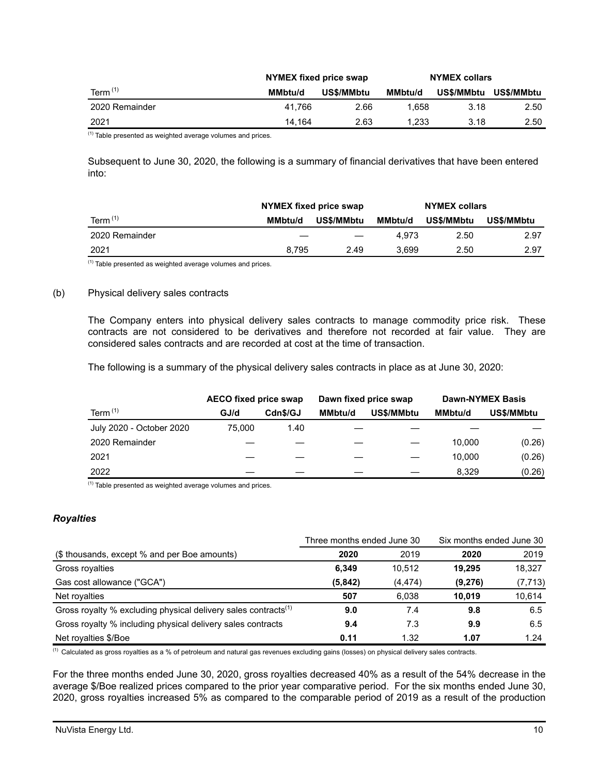|                | NYMEX fixed price swap |            | <b>NYMEX collars</b> |            |                   |
|----------------|------------------------|------------|----------------------|------------|-------------------|
| Term $(1)$     | MMbtu/d                | US\$/MMbtu | <b>MMbtu/d</b>       | US\$/MMbtu | <b>US\$/MMbtu</b> |
| 2020 Remainder | 41.766                 | 2.66       | 1.658                | 3.18       | 2.50              |
| 2021           | 14.164                 | 2.63       | 1.233                | 3.18       | 2.50              |

 $(1)$  Table presented as weighted average volumes and prices.

Subsequent to June 30, 2020, the following is a summary of financial derivatives that have been entered into:

|                | NYMEX fixed price swap |            |                | <b>NYMEX collars</b> |            |  |
|----------------|------------------------|------------|----------------|----------------------|------------|--|
| Term $(1)$     | MMbtu/d                | US\$/MMbtu | <b>MMbtu/d</b> | US\$/MMbtu           | US\$/MMbtu |  |
| 2020 Remainder |                        |            | 4.973          | 2.50                 | 2.97       |  |
| 2021           | 8.795                  | 2.49       | 3.699          | 2.50                 | 2.97       |  |

 $<sup>(1)</sup>$  Table presented as weighted average volumes and prices.</sup>

#### (b) Physical delivery sales contracts

The Company enters into physical delivery sales contracts to manage commodity price risk. These contracts are not considered to be derivatives and therefore not recorded at fair value. They are considered sales contracts and are recorded at cost at the time of transaction.

The following is a summary of the physical delivery sales contracts in place as at June 30, 2020:

|                          | <b>AECO fixed price swap</b> |          | Dawn fixed price swap |            | <b>Dawn-NYMEX Basis</b> |            |
|--------------------------|------------------------------|----------|-----------------------|------------|-------------------------|------------|
| Term $(1)$               | GJ/d                         | Cdn\$/GJ | <b>MMbtu/d</b>        | US\$/MMbtu | <b>MMbtu/d</b>          | US\$/MMbtu |
| July 2020 - October 2020 | 75,000                       | 1.40     |                       |            |                         |            |
| 2020 Remainder           |                              |          |                       |            | 10.000                  | (0.26)     |
| 2021                     |                              |          |                       |            | 10.000                  | (0.26)     |
| 2022                     |                              |          |                       |            | 8.329                   | (0.26)     |

 $(1)$  Table presented as weighted average volumes and prices.

# *Royalties*

|                                                                            | Three months ended June 30 |          | Six months ended June 30 |          |
|----------------------------------------------------------------------------|----------------------------|----------|--------------------------|----------|
| (\$ thousands, except % and per Boe amounts)                               | 2020                       | 2019     | 2020                     | 2019     |
| Gross royalties                                                            | 6.349                      | 10.512   | 19.295                   | 18,327   |
| Gas cost allowance ("GCA")                                                 | (5, 842)                   | (4, 474) | (9,276)                  | (7, 713) |
| Net royalties                                                              | 507                        | 6.038    | 10.019                   | 10,614   |
| Gross royalty % excluding physical delivery sales contracts <sup>(1)</sup> | 9.0                        | 7.4      | 9.8                      | 6.5      |
| Gross royalty % including physical delivery sales contracts                | 9.4                        | 7.3      | 9.9                      | 6.5      |
| Net royalties \$/Boe                                                       | 0.11                       | 1.32     | 1.07                     | 1.24     |

(1) Calculated as gross royalties as a % of petroleum and natural gas revenues excluding gains (losses) on physical delivery sales contracts.

For the three months ended June 30, 2020, gross royalties decreased 40% as a result of the 54% decrease in the average \$/Boe realized prices compared to the prior year comparative period. For the six months ended June 30, 2020, gross royalties increased 5% as compared to the comparable period of 2019 as a result of the production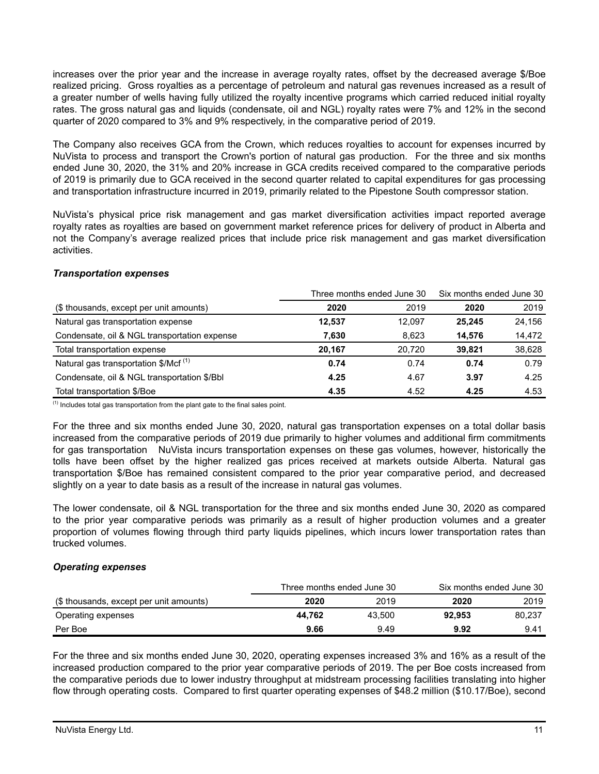increases over the prior year and the increase in average royalty rates, offset by the decreased average \$/Boe realized pricing. Gross royalties as a percentage of petroleum and natural gas revenues increased as a result of a greater number of wells having fully utilized the royalty incentive programs which carried reduced initial royalty rates. The gross natural gas and liquids (condensate, oil and NGL) royalty rates were 7% and 12% in the second quarter of 2020 compared to 3% and 9% respectively, in the comparative period of 2019.

The Company also receives GCA from the Crown, which reduces royalties to account for expenses incurred by NuVista to process and transport the Crown's portion of natural gas production. For the three and six months ended June 30, 2020, the 31% and 20% increase in GCA credits received compared to the comparative periods of 2019 is primarily due to GCA received in the second quarter related to capital expenditures for gas processing and transportation infrastructure incurred in 2019, primarily related to the Pipestone South compressor station.

NuVista's physical price risk management and gas market diversification activities impact reported average royalty rates as royalties are based on government market reference prices for delivery of product in Alberta and not the Company's average realized prices that include price risk management and gas market diversification activities.

# *Transportation expenses*

| Three months ended June 30                       |        |        | Six months ended June 30 |        |  |
|--------------------------------------------------|--------|--------|--------------------------|--------|--|
| (\$ thousands, except per unit amounts)          | 2020   | 2019   | 2020                     | 2019   |  |
| Natural gas transportation expense               | 12.537 | 12.097 | 25.245                   | 24.156 |  |
| Condensate, oil & NGL transportation expense     | 7.630  | 8.623  | 14.576                   | 14,472 |  |
| Total transportation expense                     | 20.167 | 20.720 | 39.821                   | 38,628 |  |
| Natural gas transportation \$/Mcf <sup>(1)</sup> | 0.74   | 0.74   | 0.74                     | 0.79   |  |
| Condensate, oil & NGL transportation \$/Bbl      | 4.25   | 4.67   | 3.97                     | 4.25   |  |
| Total transportation \$/Boe                      | 4.35   | 4.52   | 4.25                     | 4.53   |  |

 $<sup>(1)</sup>$  Includes total gas transportation from the plant gate to the final sales point.</sup>

For the three and six months ended June 30, 2020, natural gas transportation expenses on a total dollar basis increased from the comparative periods of 2019 due primarily to higher volumes and additional firm commitments for gas transportation NuVista incurs transportation expenses on these gas volumes, however, historically the tolls have been offset by the higher realized gas prices received at markets outside Alberta. Natural gas transportation \$/Boe has remained consistent compared to the prior year comparative period, and decreased slightly on a year to date basis as a result of the increase in natural gas volumes.

The lower condensate, oil & NGL transportation for the three and six months ended June 30, 2020 as compared to the prior year comparative periods was primarily as a result of higher production volumes and a greater proportion of volumes flowing through third party liquids pipelines, which incurs lower transportation rates than trucked volumes.

# *Operating expenses*

|                                         |        | Three months ended June 30 | Six months ended June 30 |        |  |
|-----------------------------------------|--------|----------------------------|--------------------------|--------|--|
| (\$ thousands, except per unit amounts) | 2020   | 2019                       | 2020                     | 2019   |  |
| Operating expenses                      | 44.762 | 43.500                     | 92.953                   | 80.237 |  |
| Per Boe                                 | 9.66   | 9.49                       | 9.92                     | 9.41   |  |

For the three and six months ended June 30, 2020, operating expenses increased 3% and 16% as a result of the increased production compared to the prior year comparative periods of 2019. The per Boe costs increased from the comparative periods due to lower industry throughput at midstream processing facilities translating into higher flow through operating costs. Compared to first quarter operating expenses of \$48.2 million (\$10.17/Boe), second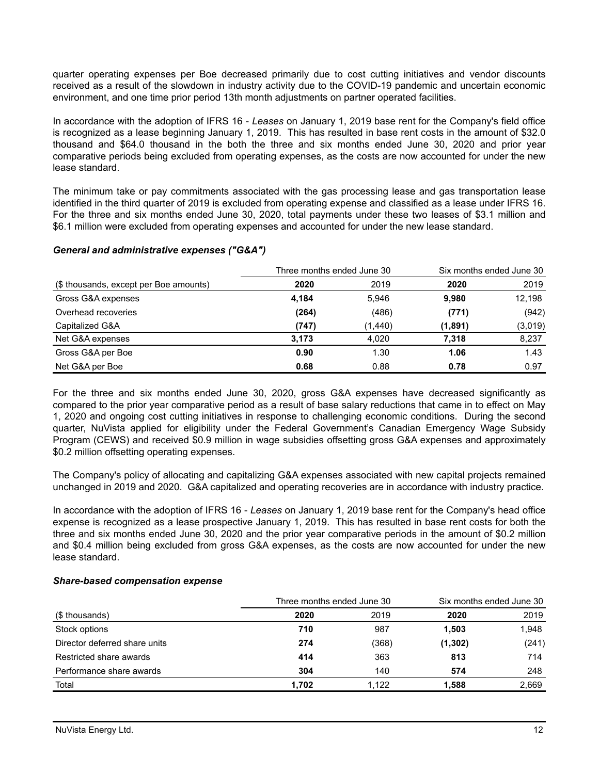quarter operating expenses per Boe decreased primarily due to cost cutting initiatives and vendor discounts received as a result of the slowdown in industry activity due to the COVID-19 pandemic and uncertain economic environment, and one time prior period 13th month adjustments on partner operated facilities.

In accordance with the adoption of IFRS 16 - *Leases* on January 1, 2019 base rent for the Company's field office is recognized as a lease beginning January 1, 2019. This has resulted in base rent costs in the amount of \$32.0 thousand and \$64.0 thousand in the both the three and six months ended June 30, 2020 and prior year comparative periods being excluded from operating expenses, as the costs are now accounted for under the new lease standard.

The minimum take or pay commitments associated with the gas processing lease and gas transportation lease identified in the third quarter of 2019 is excluded from operating expense and classified as a lease under IFRS 16. For the three and six months ended June 30, 2020, total payments under these two leases of \$3.1 million and \$6.1 million were excluded from operating expenses and accounted for under the new lease standard.

# *General and administrative expenses ("G&A")*

|                                        | Three months ended June 30 |         | Six months ended June 30 |         |
|----------------------------------------|----------------------------|---------|--------------------------|---------|
| (\$ thousands, except per Boe amounts) | 2020                       | 2019    | 2020                     | 2019    |
| Gross G&A expenses                     | 4,184                      | 5,946   | 9.980                    | 12,198  |
| Overhead recoveries                    | (264)                      | (486)   | (771)                    | (942)   |
| Capitalized G&A                        | (747)                      | (1,440) | (1,891)                  | (3,019) |
| Net G&A expenses                       | 3.173                      | 4.020   | 7.318                    | 8,237   |
| Gross G&A per Boe                      | 0.90                       | 1.30    | 1.06                     | 1.43    |
| Net G&A per Boe                        | 0.68                       | 0.88    | 0.78                     | 0.97    |

For the three and six months ended June 30, 2020, gross G&A expenses have decreased significantly as compared to the prior year comparative period as a result of base salary reductions that came in to effect on May 1, 2020 and ongoing cost cutting initiatives in response to challenging economic conditions. During the second quarter, NuVista applied for eligibility under the Federal Government's Canadian Emergency Wage Subsidy Program (CEWS) and received \$0.9 million in wage subsidies offsetting gross G&A expenses and approximately \$0.2 million offsetting operating expenses.

The Company's policy of allocating and capitalizing G&A expenses associated with new capital projects remained unchanged in 2019 and 2020. G&A capitalized and operating recoveries are in accordance with industry practice.

In accordance with the adoption of IFRS 16 - *Leases* on January 1, 2019 base rent for the Company's head office expense is recognized as a lease prospective January 1, 2019. This has resulted in base rent costs for both the three and six months ended June 30, 2020 and the prior year comparative periods in the amount of \$0.2 million and \$0.4 million being excluded from gross G&A expenses, as the costs are now accounted for under the new lease standard.

#### *Share-based compensation expense*

|                               | Three months ended June 30 |       | Six months ended June 30 |       |
|-------------------------------|----------------------------|-------|--------------------------|-------|
| (\$ thousands)                | 2020                       | 2019  | 2020                     | 2019  |
| Stock options                 | 710                        | 987   | 1,503                    | 1.948 |
| Director deferred share units | 274                        | (368) | (1, 302)                 | (241) |
| Restricted share awards       | 414                        | 363   | 813                      | 714   |
| Performance share awards      | 304                        | 140   | 574                      | 248   |
| Total                         | 1,702                      | 1.122 | 1.588                    | 2,669 |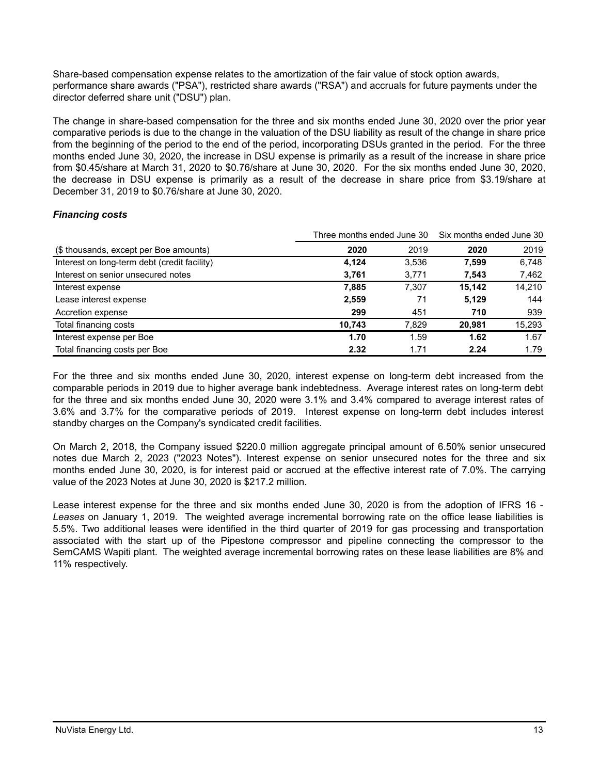Share-based compensation expense relates to the amortization of the fair value of stock option awards, performance share awards ("PSA"), restricted share awards ("RSA") and accruals for future payments under the director deferred share unit ("DSU") plan.

The change in share-based compensation for the three and six months ended June 30, 2020 over the prior year comparative periods is due to the change in the valuation of the DSU liability as result of the change in share price from the beginning of the period to the end of the period, incorporating DSUs granted in the period. For the three months ended June 30, 2020, the increase in DSU expense is primarily as a result of the increase in share price from \$0.45/share at March 31, 2020 to \$0.76/share at June 30, 2020. For the six months ended June 30, 2020, the decrease in DSU expense is primarily as a result of the decrease in share price from \$3.19/share at December 31, 2019 to \$0.76/share at June 30, 2020.

# *Financing costs*

|                                              | Three months ended June 30 |       | Six months ended June 30 |        |
|----------------------------------------------|----------------------------|-------|--------------------------|--------|
| (\$ thousands, except per Boe amounts)       | 2020                       | 2019  | 2020                     | 2019   |
| Interest on long-term debt (credit facility) | 4,124                      | 3,536 | 7,599                    | 6,748  |
| Interest on senior unsecured notes           | 3,761                      | 3,771 | 7,543                    | 7,462  |
| Interest expense                             | 7.885                      | 7.307 | 15.142                   | 14,210 |
| Lease interest expense                       | 2,559                      | 71    | 5,129                    | 144    |
| Accretion expense                            | 299                        | 451   | 710                      | 939    |
| Total financing costs                        | 10.743                     | 7.829 | 20.981                   | 15,293 |
| Interest expense per Boe                     | 1.70                       | 1.59  | 1.62                     | 1.67   |
| Total financing costs per Boe                | 2.32                       | 1.71  | 2.24                     | 1.79   |

For the three and six months ended June 30, 2020, interest expense on long-term debt increased from the comparable periods in 2019 due to higher average bank indebtedness. Average interest rates on long-term debt for the three and six months ended June 30, 2020 were 3.1% and 3.4% compared to average interest rates of 3.6% and 3.7% for the comparative periods of 2019. Interest expense on long-term debt includes interest standby charges on the Company's syndicated credit facilities.

On March 2, 2018, the Company issued \$220.0 million aggregate principal amount of 6.50% senior unsecured notes due March 2, 2023 ("2023 Notes"). Interest expense on senior unsecured notes for the three and six months ended June 30, 2020, is for interest paid or accrued at the effective interest rate of 7.0%. The carrying value of the 2023 Notes at June 30, 2020 is \$217.2 million.

Lease interest expense for the three and six months ended June 30, 2020 is from the adoption of IFRS 16 - *Leases* on January 1, 2019. The weighted average incremental borrowing rate on the office lease liabilities is 5.5%. Two additional leases were identified in the third quarter of 2019 for gas processing and transportation associated with the start up of the Pipestone compressor and pipeline connecting the compressor to the SemCAMS Wapiti plant. The weighted average incremental borrowing rates on these lease liabilities are 8% and 11% respectively.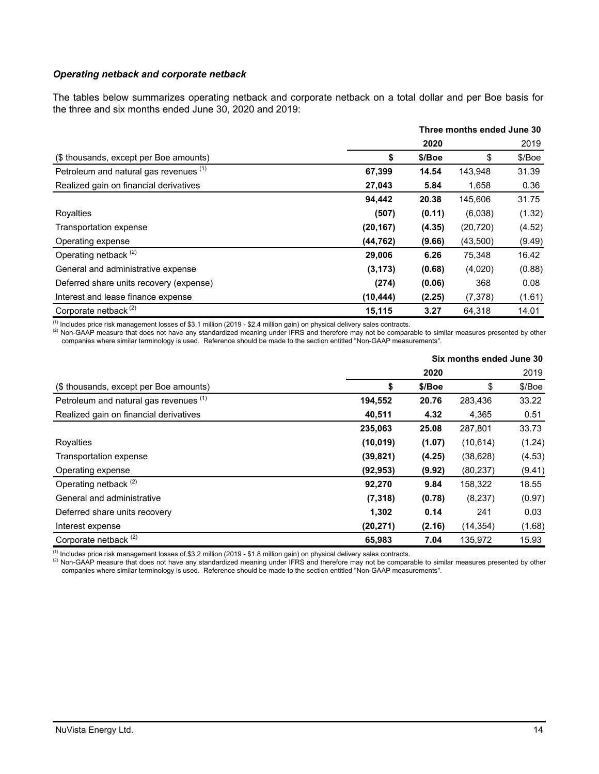#### *Operating netback and corporate netback*

The tables below summarizes operating netback and corporate netback on a total dollar and per Boe basis for the three and six months ended June 30, 2020 and 2019:

|                                         | Three months ended June 30 |        |           |        |  |
|-----------------------------------------|----------------------------|--------|-----------|--------|--|
|                                         |                            | 2020   |           | 2019   |  |
| (\$ thousands, except per Boe amounts)  | \$                         | \$/Boe | \$        | \$/Boe |  |
| Petroleum and natural gas revenues (1)  | 67,399                     | 14.54  | 143,948   | 31.39  |  |
| Realized gain on financial derivatives  | 27,043                     | 5.84   | 1,658     | 0.36   |  |
|                                         | 94,442                     | 20.38  | 145,606   | 31.75  |  |
| Royalties                               | (507)                      | (0.11) | (6,038)   | (1.32) |  |
| Transportation expense                  | (20, 167)                  | (4.35) | (20, 720) | (4.52) |  |
| Operating expense                       | (44, 762)                  | (9.66) | (43,500)  | (9.49) |  |
| Operating netback <sup>(2)</sup>        | 29,006                     | 6.26   | 75,348    | 16.42  |  |
| General and administrative expense      | (3, 173)                   | (0.68) | (4,020)   | (0.88) |  |
| Deferred share units recovery (expense) | (274)                      | (0.06) | 368       | 0.08   |  |
| Interest and lease finance expense      | (10, 444)                  | (2.25) | (7, 378)  | (1.61) |  |
| Corporate netback <sup>(2)</sup>        | 15,115                     | 3.27   | 64,318    | 14.01  |  |

(1) Includes price risk management losses of \$3.1 million (2019 - \$2.4 million gain) on physical delivery sales contracts.

(2) Non-GAAP measure that does not have any standardized meaning under IFRS and therefore may not be comparable to similar measures presented by other companies where similar terminology is used. Reference should be made to the section entitled "Non-GAAP measurements".

|                                        | Six months ended June 30 |        |           |        |
|----------------------------------------|--------------------------|--------|-----------|--------|
|                                        |                          | 2020   |           | 2019   |
| (\$ thousands, except per Boe amounts) | \$                       | \$/Boe | \$        | \$/Boe |
| Petroleum and natural gas revenues (1) | 194,552                  | 20.76  | 283,436   | 33.22  |
| Realized gain on financial derivatives | 40,511                   | 4.32   | 4.365     | 0.51   |
|                                        | 235,063                  | 25.08  | 287,801   | 33.73  |
| Royalties                              | (10, 019)                | (1.07) | (10, 614) | (1.24) |
| Transportation expense                 | (39, 821)                | (4.25) | (38, 628) | (4.53) |
| Operating expense                      | (92, 953)                | (9.92) | (80, 237) | (9.41) |
| Operating netback <sup>(2)</sup>       | 92,270                   | 9.84   | 158,322   | 18.55  |
| General and administrative             | (7, 318)                 | (0.78) | (8,237)   | (0.97) |
| Deferred share units recovery          | 1,302                    | 0.14   | 241       | 0.03   |
| Interest expense                       | (20, 271)                | (2.16) | (14, 354) | (1.68) |
| Corporate netback <sup>(2)</sup>       | 65,983                   | 7.04   | 135,972   | 15.93  |

(1) Includes price risk management losses of \$3.2 million (2019 - \$1.8 million gain) on physical delivery sales contracts.

(2) Non-GAAP measure that does not have any standardized meaning under IFRS and therefore may not be comparable to similar measures presented by other companies where similar terminology is used. Reference should be made to the section entitled "Non-GAAP measurements".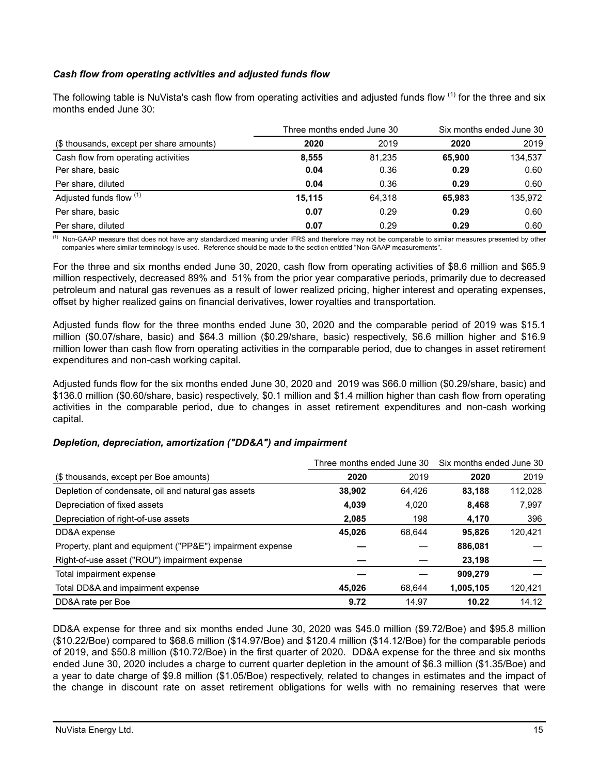# *Cash flow from operating activities and adjusted funds flow*

The following table is NuVista's cash flow from operating activities and adjusted funds flow <sup>(1)</sup> for the three and six months ended June 30:

|                                          | Three months ended June 30 |        | Six months ended June 30 |         |  |
|------------------------------------------|----------------------------|--------|--------------------------|---------|--|
| (\$ thousands, except per share amounts) | 2020                       | 2019   | 2020                     | 2019    |  |
| Cash flow from operating activities      | 8.555                      | 81,235 | 65.900                   | 134.537 |  |
| Per share, basic                         | 0.04                       | 0.36   | 0.29                     | 0.60    |  |
| Per share, diluted                       | 0.04                       | 0.36   | 0.29                     | 0.60    |  |
| Adjusted funds flow (1)                  | 15.115                     | 64,318 | 65.983                   | 135,972 |  |
| Per share, basic                         | 0.07                       | 0.29   | 0.29                     | 0.60    |  |
| Per share, diluted                       | 0.07                       | 0.29   | 0.29                     | 0.60    |  |

<sup>(1)</sup> Non-GAAP measure that does not have any standardized meaning under IFRS and therefore may not be comparable to similar measures presented by other companies where similar terminology is used. Reference should be made to the section entitled "Non-GAAP measurements".

For the three and six months ended June 30, 2020, cash flow from operating activities of \$8.6 million and \$65.9 million respectively, decreased 89% and 51% from the prior year comparative periods, primarily due to decreased petroleum and natural gas revenues as a result of lower realized pricing, higher interest and operating expenses, offset by higher realized gains on financial derivatives, lower royalties and transportation.

Adjusted funds flow for the three months ended June 30, 2020 and the comparable period of 2019 was \$15.1 million (\$0.07/share, basic) and \$64.3 million (\$0.29/share, basic) respectively, \$6.6 million higher and \$16.9 million lower than cash flow from operating activities in the comparable period, due to changes in asset retirement expenditures and non-cash working capital.

Adjusted funds flow for the six months ended June 30, 2020 and 2019 was \$66.0 million (\$0.29/share, basic) and \$136.0 million (\$0.60/share, basic) respectively, \$0.1 million and \$1.4 million higher than cash flow from operating activities in the comparable period, due to changes in asset retirement expenditures and non-cash working capital.

# *Depletion, depreciation, amortization ("DD&A") and impairment*

|                                                           | Three months ended June 30 |        | Six months ended June 30 |         |
|-----------------------------------------------------------|----------------------------|--------|--------------------------|---------|
| (\$ thousands, except per Boe amounts)                    | 2020                       | 2019   | 2020                     | 2019    |
| Depletion of condensate, oil and natural gas assets       | 38,902                     | 64.426 | 83.188                   | 112,028 |
| Depreciation of fixed assets                              | 4,039                      | 4.020  | 8.468                    | 7,997   |
| Depreciation of right-of-use assets                       | 2,085                      | 198    | 4,170                    | 396     |
| DD&A expense                                              | 45,026                     | 68.644 | 95.826                   | 120,421 |
| Property, plant and equipment ("PP&E") impairment expense |                            |        | 886,081                  |         |
| Right-of-use asset ("ROU") impairment expense             |                            |        | 23.198                   |         |
| Total impairment expense                                  |                            |        | 909.279                  |         |
| Total DD&A and impairment expense                         | 45.026                     | 68,644 | 1,005,105                | 120,421 |
| DD&A rate per Boe                                         | 9.72                       | 14.97  | 10.22                    | 14.12   |

DD&A expense for three and six months ended June 30, 2020 was \$45.0 million (\$9.72/Boe) and \$95.8 million (\$10.22/Boe) compared to \$68.6 million (\$14.97/Boe) and \$120.4 million (\$14.12/Boe) for the comparable periods of 2019, and \$50.8 million (\$10.72/Boe) in the first quarter of 2020. DD&A expense for the three and six months ended June 30, 2020 includes a charge to current quarter depletion in the amount of \$6.3 million (\$1.35/Boe) and a year to date charge of \$9.8 million (\$1.05/Boe) respectively, related to changes in estimates and the impact of the change in discount rate on asset retirement obligations for wells with no remaining reserves that were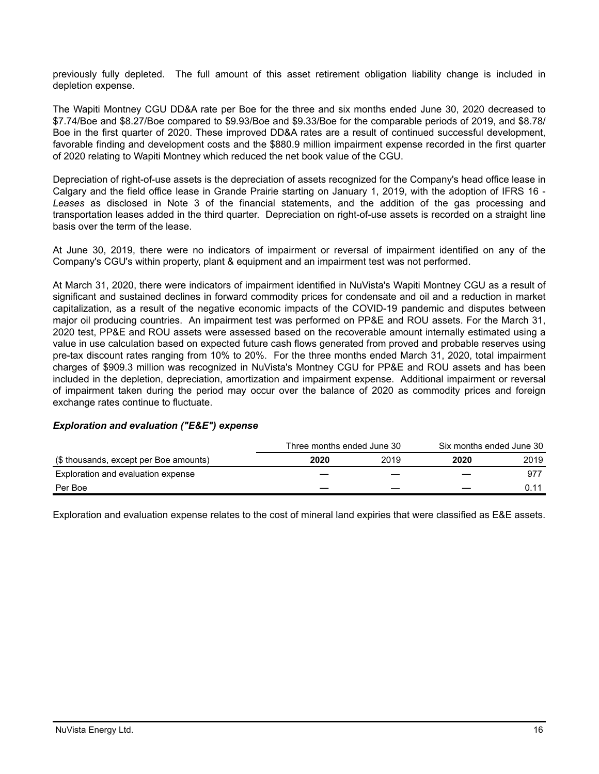previously fully depleted. The full amount of this asset retirement obligation liability change is included in depletion expense.

The Wapiti Montney CGU DD&A rate per Boe for the three and six months ended June 30, 2020 decreased to \$7.74/Boe and \$8.27/Boe compared to \$9.93/Boe and \$9.33/Boe for the comparable periods of 2019, and \$8.78/ Boe in the first quarter of 2020. These improved DD&A rates are a result of continued successful development, favorable finding and development costs and the \$880.9 million impairment expense recorded in the first quarter of 2020 relating to Wapiti Montney which reduced the net book value of the CGU.

Depreciation of right-of-use assets is the depreciation of assets recognized for the Company's head office lease in Calgary and the field office lease in Grande Prairie starting on January 1, 2019, with the adoption of IFRS 16 - Leases as disclosed in Note 3 of the financial statements, and the addition of the gas processing and transportation leases added in the third quarter. Depreciation on right-of-use assets is recorded on a straight line basis over the term of the lease.

At June 30, 2019, there were no indicators of impairment or reversal of impairment identified on any of the Company's CGU's within property, plant & equipment and an impairment test was not performed.

At March 31, 2020, there were indicators of impairment identified in NuVista's Wapiti Montney CGU as a result of significant and sustained declines in forward commodity prices for condensate and oil and a reduction in market capitalization, as a result of the negative economic impacts of the COVID-19 pandemic and disputes between major oil producing countries. An impairment test was performed on PP&E and ROU assets. For the March 31, 2020 test, PP&E and ROU assets were assessed based on the recoverable amount internally estimated using a value in use calculation based on expected future cash flows generated from proved and probable reserves using pre-tax discount rates ranging from 10% to 20%. For the three months ended March 31, 2020, total impairment charges of \$909.3 million was recognized in NuVista's Montney CGU for PP&E and ROU assets and has been included in the depletion, depreciation, amortization and impairment expense. Additional impairment or reversal of impairment taken during the period may occur over the balance of 2020 as commodity prices and foreign exchange rates continue to fluctuate.

#### *Exploration and evaluation ("E&E") expense*

|                                        | Three months ended June 30 |      | Six months ended June 30 |      |  |
|----------------------------------------|----------------------------|------|--------------------------|------|--|
| (\$ thousands, except per Boe amounts) | 2020                       | 2019 | 2020                     | 2019 |  |
| Exploration and evaluation expense     |                            |      |                          | 977  |  |
| Per Boe                                |                            |      |                          | 0.11 |  |

Exploration and evaluation expense relates to the cost of mineral land expiries that were classified as E&E assets.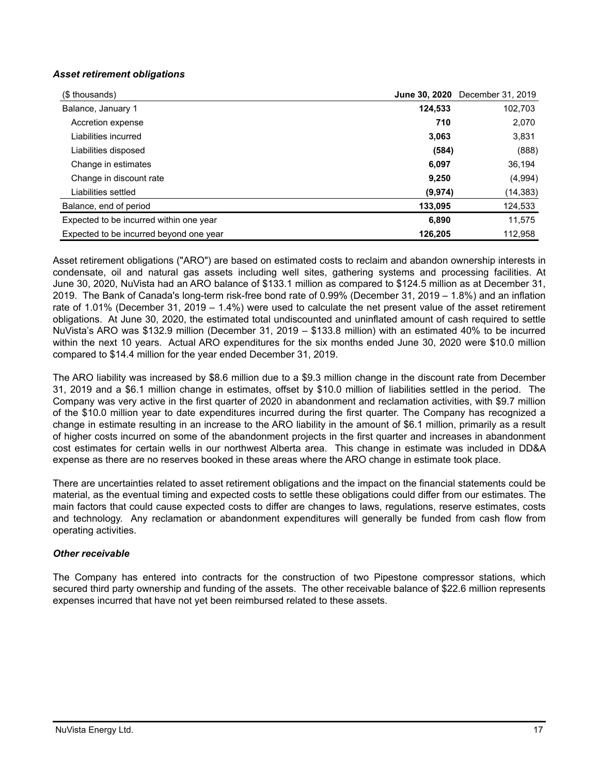# *Asset retirement obligations*

| (\$ thousands)                          |         | June 30, 2020 December 31, 2019 |
|-----------------------------------------|---------|---------------------------------|
| Balance, January 1                      | 124,533 | 102,703                         |
| Accretion expense                       | 710     | 2,070                           |
| Liabilities incurred                    | 3,063   | 3,831                           |
| Liabilities disposed                    | (584)   | (888)                           |
| Change in estimates                     | 6,097   | 36,194                          |
| Change in discount rate                 | 9,250   | (4,994)                         |
| Liabilities settled                     | (9,974) | (14, 383)                       |
| Balance, end of period                  | 133,095 | 124,533                         |
| Expected to be incurred within one year | 6,890   | 11,575                          |
| Expected to be incurred beyond one year | 126,205 | 112,958                         |

Asset retirement obligations ("ARO") are based on estimated costs to reclaim and abandon ownership interests in condensate, oil and natural gas assets including well sites, gathering systems and processing facilities. At June 30, 2020, NuVista had an ARO balance of \$133.1 million as compared to \$124.5 million as at December 31, 2019. The Bank of Canada's long-term risk-free bond rate of 0.99% (December 31, 2019 – 1.8%) and an inflation rate of 1.01% (December 31, 2019 – 1.4%) were used to calculate the net present value of the asset retirement obligations. At June 30, 2020, the estimated total undiscounted and uninflated amount of cash required to settle NuVista's ARO was \$132.9 million (December 31, 2019 – \$133.8 million) with an estimated 40% to be incurred within the next 10 years. Actual ARO expenditures for the six months ended June 30, 2020 were \$10.0 million compared to \$14.4 million for the year ended December 31, 2019.

The ARO liability was increased by \$8.6 million due to a \$9.3 million change in the discount rate from December 31, 2019 and a \$6.1 million change in estimates, offset by \$10.0 million of liabilities settled in the period. The Company was very active in the first quarter of 2020 in abandonment and reclamation activities, with \$9.7 million of the \$10.0 million year to date expenditures incurred during the first quarter. The Company has recognized a change in estimate resulting in an increase to the ARO liability in the amount of \$6.1 million, primarily as a result of higher costs incurred on some of the abandonment projects in the first quarter and increases in abandonment cost estimates for certain wells in our northwest Alberta area. This change in estimate was included in DD&A expense as there are no reserves booked in these areas where the ARO change in estimate took place.

There are uncertainties related to asset retirement obligations and the impact on the financial statements could be material, as the eventual timing and expected costs to settle these obligations could differ from our estimates. The main factors that could cause expected costs to differ are changes to laws, regulations, reserve estimates, costs and technology. Any reclamation or abandonment expenditures will generally be funded from cash flow from operating activities.

# *Other receivable*

The Company has entered into contracts for the construction of two Pipestone compressor stations, which secured third party ownership and funding of the assets. The other receivable balance of \$22.6 million represents expenses incurred that have not yet been reimbursed related to these assets.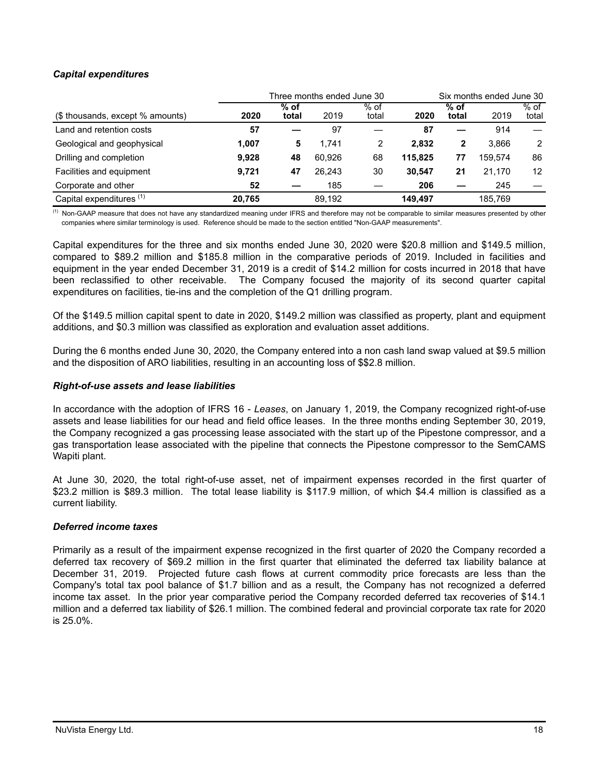# *Capital expenditures*

|                                     | Three months ended June 30 |                 |        |                 | Six months ended June 30 |                 |         |                 |
|-------------------------------------|----------------------------|-----------------|--------|-----------------|--------------------------|-----------------|---------|-----------------|
| (\$ thousands, except % amounts)    | 2020                       | $%$ of<br>total | 2019   | $%$ of<br>total | 2020                     | $%$ of<br>total | 2019    | $%$ of<br>total |
| Land and retention costs            | 57                         |                 | 97     |                 | 87                       |                 | 914     |                 |
| Geological and geophysical          | 1.007                      | 5               | 1.741  | 2               | 2.832                    | 2               | 3.866   | $\mathcal{P}$   |
| Drilling and completion             | 9.928                      | 48              | 60.926 | 68              | 115.825                  | 77              | 159.574 | 86              |
| Facilities and equipment            | 9,721                      | 47              | 26.243 | 30              | 30.547                   | 21              | 21.170  | 12              |
| Corporate and other                 | 52                         |                 | 185    |                 | 206                      |                 | 245     |                 |
| Capital expenditures <sup>(1)</sup> | 20.765                     |                 | 89,192 |                 | 149.497                  |                 | 185.769 |                 |

<sup>(1)</sup> Non-GAAP measure that does not have any standardized meaning under IFRS and therefore may not be comparable to similar measures presented by other companies where similar terminology is used. Reference should be made to the section entitled "Non-GAAP measurements".

Capital expenditures for the three and six months ended June 30, 2020 were \$20.8 million and \$149.5 million, compared to \$89.2 million and \$185.8 million in the comparative periods of 2019. Included in facilities and equipment in the year ended December 31, 2019 is a credit of \$14.2 million for costs incurred in 2018 that have been reclassified to other receivable. The Company focused the majority of its second quarter capital expenditures on facilities, tie-ins and the completion of the Q1 drilling program.

Of the \$149.5 million capital spent to date in 2020, \$149.2 million was classified as property, plant and equipment additions, and \$0.3 million was classified as exploration and evaluation asset additions.

During the 6 months ended June 30, 2020, the Company entered into a non cash land swap valued at \$9.5 million and the disposition of ARO liabilities, resulting in an accounting loss of \$\$2.8 million.

#### *Right-of-use assets and lease liabilities*

In accordance with the adoption of IFRS 16 - *Leases*, on January 1, 2019, the Company recognized right-of-use assets and lease liabilities for our head and field office leases. In the three months ending September 30, 2019, the Company recognized a gas processing lease associated with the start up of the Pipestone compressor, and a gas transportation lease associated with the pipeline that connects the Pipestone compressor to the SemCAMS Wapiti plant.

At June 30, 2020, the total right-of-use asset, net of impairment expenses recorded in the first quarter of \$23.2 million is \$89.3 million. The total lease liability is \$117.9 million, of which \$4.4 million is classified as a current liability.

#### *Deferred income taxes*

Primarily as a result of the impairment expense recognized in the first quarter of 2020 the Company recorded a deferred tax recovery of \$69.2 million in the first quarter that eliminated the deferred tax liability balance at December 31, 2019. Projected future cash flows at current commodity price forecasts are less than the Company's total tax pool balance of \$1.7 billion and as a result, the Company has not recognized a deferred income tax asset. In the prior year comparative period the Company recorded deferred tax recoveries of \$14.1 million and a deferred tax liability of \$26.1 million. The combined federal and provincial corporate tax rate for 2020 is 25.0%.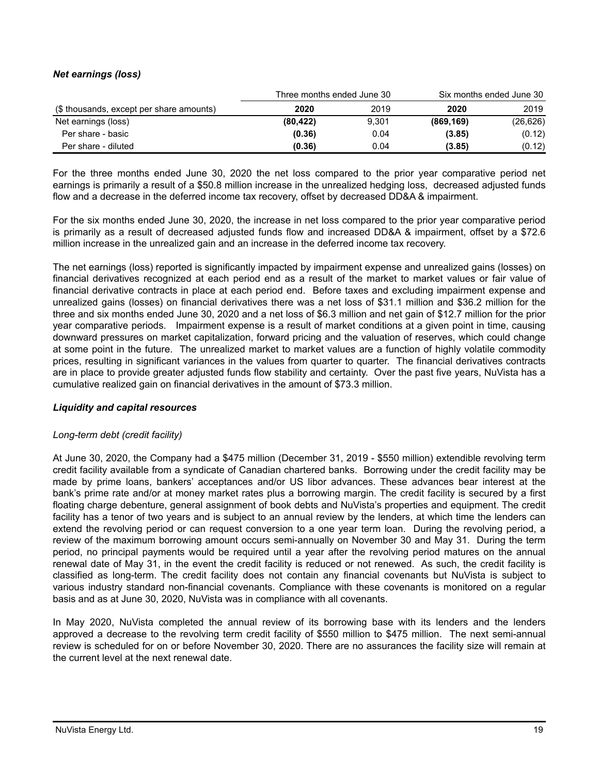# *Net earnings (loss)*

|                                          |           | Three months ended June 30 | Six months ended June 30 |           |  |
|------------------------------------------|-----------|----------------------------|--------------------------|-----------|--|
| (\$ thousands, except per share amounts) | 2020      | 2019                       | 2020                     | 2019      |  |
| Net earnings (loss)                      | (80, 422) | 9.301                      | (869, 169)               | (26, 626) |  |
| Per share - basic                        | (0.36)    | 0.04                       | (3.85)                   | (0.12)    |  |
| Per share - diluted                      | (0.36)    | 0.04                       | (3.85)                   | (0.12)    |  |

For the three months ended June 30, 2020 the net loss compared to the prior year comparative period net earnings is primarily a result of a \$50.8 million increase in the unrealized hedging loss, decreased adjusted funds flow and a decrease in the deferred income tax recovery, offset by decreased DD&A & impairment.

For the six months ended June 30, 2020, the increase in net loss compared to the prior year comparative period is primarily as a result of decreased adjusted funds flow and increased DD&A & impairment, offset by a \$72.6 million increase in the unrealized gain and an increase in the deferred income tax recovery.

The net earnings (loss) reported is significantly impacted by impairment expense and unrealized gains (losses) on financial derivatives recognized at each period end as a result of the market to market values or fair value of financial derivative contracts in place at each period end. Before taxes and excluding impairment expense and unrealized gains (losses) on financial derivatives there was a net loss of \$31.1 million and \$36.2 million for the three and six months ended June 30, 2020 and a net loss of \$6.3 million and net gain of \$12.7 million for the prior year comparative periods. Impairment expense is a result of market conditions at a given point in time, causing downward pressures on market capitalization, forward pricing and the valuation of reserves, which could change at some point in the future. The unrealized market to market values are a function of highly volatile commodity prices, resulting in significant variances in the values from quarter to quarter. The financial derivatives contracts are in place to provide greater adjusted funds flow stability and certainty. Over the past five years, NuVista has a cumulative realized gain on financial derivatives in the amount of \$73.3 million.

# *Liquidity and capital resources*

# *Long-term debt (credit facility)*

At June 30, 2020, the Company had a \$475 million (December 31, 2019 - \$550 million) extendible revolving term credit facility available from a syndicate of Canadian chartered banks. Borrowing under the credit facility may be made by prime loans, bankers' acceptances and/or US libor advances. These advances bear interest at the bank's prime rate and/or at money market rates plus a borrowing margin. The credit facility is secured by a first floating charge debenture, general assignment of book debts and NuVista's properties and equipment. The credit facility has a tenor of two years and is subject to an annual review by the lenders, at which time the lenders can extend the revolving period or can request conversion to a one year term loan. During the revolving period, a review of the maximum borrowing amount occurs semi-annually on November 30 and May 31. During the term period, no principal payments would be required until a year after the revolving period matures on the annual renewal date of May 31, in the event the credit facility is reduced or not renewed. As such, the credit facility is classified as long-term. The credit facility does not contain any financial covenants but NuVista is subject to various industry standard non-financial covenants. Compliance with these covenants is monitored on a regular basis and as at June 30, 2020, NuVista was in compliance with all covenants.

In May 2020, NuVista completed the annual review of its borrowing base with its lenders and the lenders approved a decrease to the revolving term credit facility of \$550 million to \$475 million. The next semi-annual review is scheduled for on or before November 30, 2020. There are no assurances the facility size will remain at the current level at the next renewal date.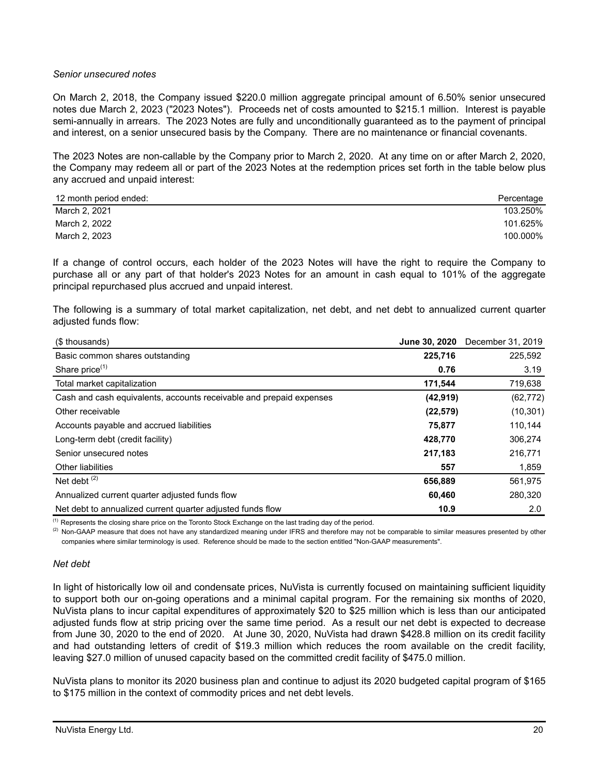#### *Senior unsecured notes*

On March 2, 2018, the Company issued \$220.0 million aggregate principal amount of 6.50% senior unsecured notes due March 2, 2023 ("2023 Notes"). Proceeds net of costs amounted to \$215.1 million. Interest is payable semi-annually in arrears. The 2023 Notes are fully and unconditionally guaranteed as to the payment of principal and interest, on a senior unsecured basis by the Company. There are no maintenance or financial covenants.

The 2023 Notes are non-callable by the Company prior to March 2, 2020. At any time on or after March 2, 2020, the Company may redeem all or part of the 2023 Notes at the redemption prices set forth in the table below plus any accrued and unpaid interest:

| 12 month period ended: | Percentage |
|------------------------|------------|
| March 2, 2021          | 103.250%   |
| March 2, 2022          | 101.625%   |
| March 2, 2023          | 100.000%   |

If a change of control occurs, each holder of the 2023 Notes will have the right to require the Company to purchase all or any part of that holder's 2023 Notes for an amount in cash equal to 101% of the aggregate principal repurchased plus accrued and unpaid interest.

The following is a summary of total market capitalization, net debt, and net debt to annualized current quarter adjusted funds flow:

| (\$ thousands)                                                      | June 30, 2020 | December 31, 2019 |
|---------------------------------------------------------------------|---------------|-------------------|
| Basic common shares outstanding                                     | 225,716       | 225,592           |
| Share price <sup>(1)</sup>                                          | 0.76          | 3.19              |
| Total market capitalization                                         | 171,544       | 719,638           |
| Cash and cash equivalents, accounts receivable and prepaid expenses | (42, 919)     | (62, 772)         |
| Other receivable                                                    | (22, 579)     | (10, 301)         |
| Accounts payable and accrued liabilities                            | 75,877        | 110,144           |
| Long-term debt (credit facility)                                    | 428,770       | 306,274           |
| Senior unsecured notes                                              | 217,183       | 216,771           |
| <b>Other liabilities</b>                                            | 557           | 1,859             |
| Net debt $(2)$                                                      | 656,889       | 561,975           |
| Annualized current quarter adjusted funds flow                      | 60,460        | 280,320           |
| Net debt to annualized current quarter adjusted funds flow          | 10.9          | 2.0               |

(1) Represents the closing share price on the Toronto Stock Exchange on the last trading day of the period.

<sup>(2)</sup> Non-GAAP measure that does not have any standardized meaning under IFRS and therefore may not be comparable to similar measures presented by other companies where similar terminology is used. Reference should be made to the section entitled "Non-GAAP measurements".

#### *Net debt*

In light of historically low oil and condensate prices, NuVista is currently focused on maintaining sufficient liquidity to support both our on-going operations and a minimal capital program. For the remaining six months of 2020, NuVista plans to incur capital expenditures of approximately \$20 to \$25 million which is less than our anticipated adjusted funds flow at strip pricing over the same time period. As a result our net debt is expected to decrease from June 30, 2020 to the end of 2020. At June 30, 2020, NuVista had drawn \$428.8 million on its credit facility and had outstanding letters of credit of \$19.3 million which reduces the room available on the credit facility, leaving \$27.0 million of unused capacity based on the committed credit facility of \$475.0 million.

NuVista plans to monitor its 2020 business plan and continue to adjust its 2020 budgeted capital program of \$165 to \$175 million in the context of commodity prices and net debt levels.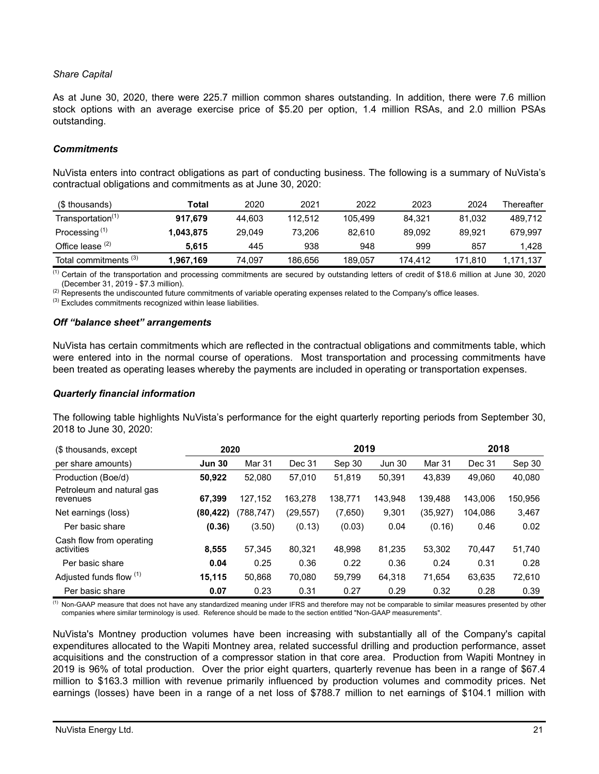#### *Share Capital*

As at June 30, 2020, there were 225.7 million common shares outstanding. In addition, there were 7.6 million stock options with an average exercise price of \$5.20 per option, 1.4 million RSAs, and 2.0 million PSAs outstanding.

#### *Commitments*

NuVista enters into contract obligations as part of conducting business. The following is a summary of NuVista's contractual obligations and commitments as at June 30, 2020:

| (\$ thousands)                   | Total     | 2020   | 2021    | 2022    | 2023    | 2024    | Thereafter |
|----------------------------------|-----------|--------|---------|---------|---------|---------|------------|
| Transportation <sup>(1)</sup>    | 917.679   | 44.603 | 112.512 | 105.499 | 84.321  | 81.032  | 489.712    |
| Processing $(1)$                 | 1.043.875 | 29.049 | 73,206  | 82.610  | 89.092  | 89.921  | 679.997    |
| Office lease $(2)$               | 5.615     | 445    | 938     | 948     | 999     | 857     | 1.428      |
| Total commitments <sup>(3)</sup> | 1.967.169 | 74.097 | 186,656 | 189.057 | 174.412 | 171.810 | 1,171,137  |

 $<sup>(1)</sup>$  Certain of the transportation and processing commitments are secured by outstanding letters of credit of \$18.6 million at June 30, 2020</sup> (December 31, 2019 - \$7.3 million).

<sup>(2)</sup> Represents the undiscounted future commitments of variable operating expenses related to the Company's office leases.

<sup>(3)</sup> Excludes commitments recognized within lease liabilities.

#### *Off "balance sheet" arrangements*

NuVista has certain commitments which are reflected in the contractual obligations and commitments table, which were entered into in the normal course of operations. Most transportation and processing commitments have been treated as operating leases whereby the payments are included in operating or transportation expenses.

#### *Quarterly financial information*

The following table highlights NuVista's performance for the eight quarterly reporting periods from September 30, 2018 to June 30, 2020:

| (\$ thousands, except)                 | 2020          |          | 2019     |         |               | 2018          |         |         |
|----------------------------------------|---------------|----------|----------|---------|---------------|---------------|---------|---------|
| per share amounts)                     | <b>Jun 30</b> | Mar 31   | Dec 31   | Sep 30  | <b>Jun 30</b> | <b>Mar 31</b> | Dec 31  | Sep 30  |
| Production (Boe/d)                     | 50.922        | 52,080   | 57,010   | 51,819  | 50.391        | 43,839        | 49.060  | 40,080  |
| Petroleum and natural gas<br>revenues  | 67.399        | 127,152  | 163.278  | 138,771 | 143.948       | 139.488       | 143.006 | 150,956 |
| Net earnings (loss)                    | (80, 422)     | 788,747) | (29,557) | (7,650) | 9,301         | (35,927)      | 104.086 | 3,467   |
| Per basic share                        | (0.36)        | (3.50)   | (0.13)   | (0.03)  | 0.04          | (0.16)        | 0.46    | 0.02    |
| Cash flow from operating<br>activities | 8.555         | 57.345   | 80,321   | 48.998  | 81.235        | 53,302        | 70.447  | 51,740  |
| Per basic share                        | 0.04          | 0.25     | 0.36     | 0.22    | 0.36          | 0.24          | 0.31    | 0.28    |
| Adjusted funds flow (1)                | 15,115        | 50.868   | 70.080   | 59.799  | 64,318        | 71,654        | 63.635  | 72,610  |
| Per basic share                        | 0.07          | 0.23     | 0.31     | 0.27    | 0.29          | 0.32          | 0.28    | 0.39    |

(1) Non-GAAP measure that does not have any standardized meaning under IFRS and therefore may not be comparable to similar measures presented by other companies where similar terminology is used. Reference should be made to the section entitled "Non-GAAP measurements".

NuVista's Montney production volumes have been increasing with substantially all of the Company's capital expenditures allocated to the Wapiti Montney area, related successful drilling and production performance, asset acquisitions and the construction of a compressor station in that core area. Production from Wapiti Montney in 2019 is 96% of total production. Over the prior eight quarters, quarterly revenue has been in a range of \$67.4 million to \$163.3 million with revenue primarily influenced by production volumes and commodity prices. Net earnings (losses) have been in a range of a net loss of \$788.7 million to net earnings of \$104.1 million with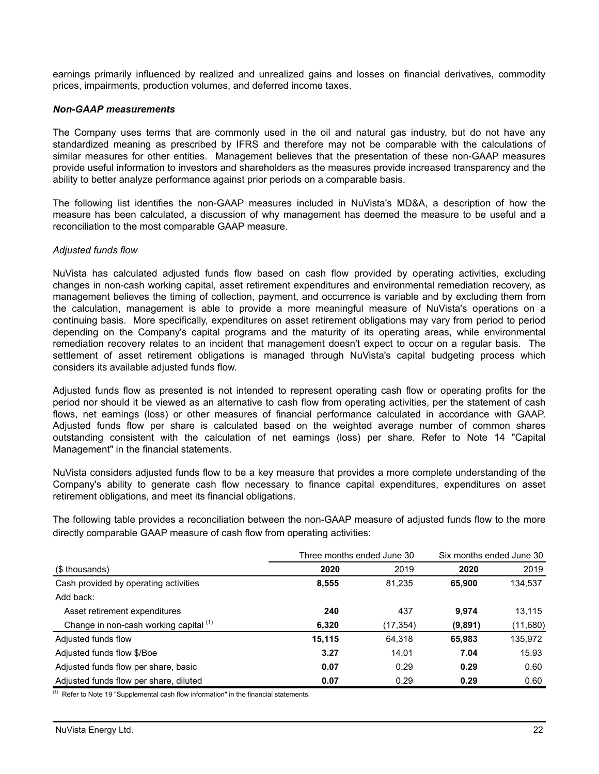earnings primarily influenced by realized and unrealized gains and losses on financial derivatives, commodity prices, impairments, production volumes, and deferred income taxes.

#### *Non-GAAP measurements*

The Company uses terms that are commonly used in the oil and natural gas industry, but do not have any standardized meaning as prescribed by IFRS and therefore may not be comparable with the calculations of similar measures for other entities. Management believes that the presentation of these non-GAAP measures provide useful information to investors and shareholders as the measures provide increased transparency and the ability to better analyze performance against prior periods on a comparable basis.

The following list identifies the non-GAAP measures included in NuVista's MD&A, a description of how the measure has been calculated, a discussion of why management has deemed the measure to be useful and a reconciliation to the most comparable GAAP measure.

#### *Adjusted funds flow*

NuVista has calculated adjusted funds flow based on cash flow provided by operating activities, excluding changes in non-cash working capital, asset retirement expenditures and environmental remediation recovery, as management believes the timing of collection, payment, and occurrence is variable and by excluding them from the calculation, management is able to provide a more meaningful measure of NuVista's operations on a continuing basis. More specifically, expenditures on asset retirement obligations may vary from period to period depending on the Company's capital programs and the maturity of its operating areas, while environmental remediation recovery relates to an incident that management doesn't expect to occur on a regular basis. The settlement of asset retirement obligations is managed through NuVista's capital budgeting process which considers its available adjusted funds flow.

Adjusted funds flow as presented is not intended to represent operating cash flow or operating profits for the period nor should it be viewed as an alternative to cash flow from operating activities, per the statement of cash flows, net earnings (loss) or other measures of financial performance calculated in accordance with GAAP. Adjusted funds flow per share is calculated based on the weighted average number of common shares outstanding consistent with the calculation of net earnings (loss) per share. Refer to Note 14 "Capital Management" in the financial statements.

NuVista considers adjusted funds flow to be a key measure that provides a more complete understanding of the Company's ability to generate cash flow necessary to finance capital expenditures, expenditures on asset retirement obligations, and meet its financial obligations.

The following table provides a reconciliation between the non-GAAP measure of adjusted funds flow to the more directly comparable GAAP measure of cash flow from operating activities:

|                                        | Three months ended June 30 |          | Six months ended June 30 |          |
|----------------------------------------|----------------------------|----------|--------------------------|----------|
| (\$ thousands)                         | 2020                       | 2019     | 2020                     | 2019     |
| Cash provided by operating activities  | 8,555                      | 81,235   | 65.900                   | 134,537  |
| Add back:                              |                            |          |                          |          |
| Asset retirement expenditures          | 240                        | 437      | 9.974                    | 13,115   |
| Change in non-cash working capital (1) | 6,320                      | (17,354) | (9,891)                  | (11,680) |
| Adjusted funds flow                    | 15,115                     | 64.318   | 65,983                   | 135,972  |
| Adjusted funds flow \$/Boe             | 3.27                       | 14.01    | 7.04                     | 15.93    |
| Adjusted funds flow per share, basic   | 0.07                       | 0.29     | 0.29                     | 0.60     |
| Adjusted funds flow per share, diluted | 0.07                       | 0.29     | 0.29                     | 0.60     |

 $(1)$  Refer to Note 19 "Supplemental cash flow information" in the financial statements.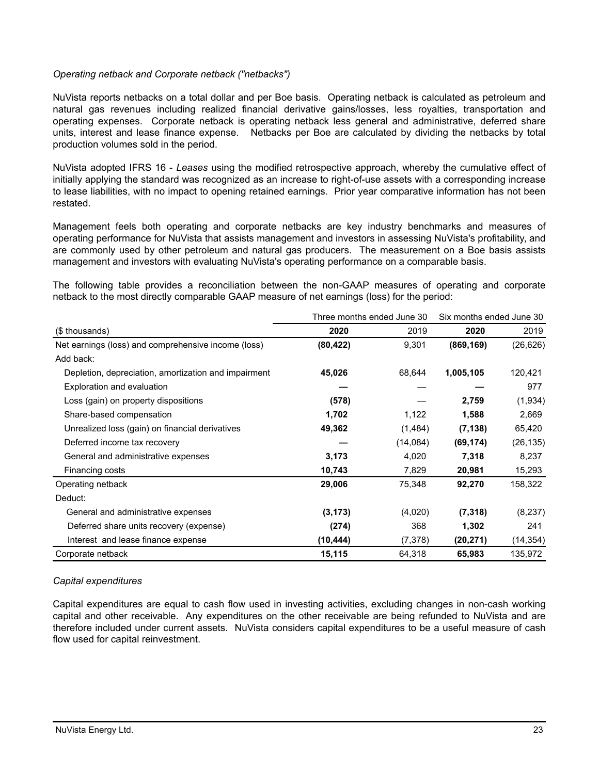# *Operating netback and Corporate netback ("netbacks")*

NuVista reports netbacks on a total dollar and per Boe basis. Operating netback is calculated as petroleum and natural gas revenues including realized financial derivative gains/losses, less royalties, transportation and operating expenses. Corporate netback is operating netback less general and administrative, deferred share units, interest and lease finance expense. Netbacks per Boe are calculated by dividing the netbacks by total production volumes sold in the period.

NuVista adopted IFRS 16 - *Leases* using the modified retrospective approach, whereby the cumulative effect of initially applying the standard was recognized as an increase to right-of-use assets with a corresponding increase to lease liabilities, with no impact to opening retained earnings. Prior year comparative information has not been restated.

Management feels both operating and corporate netbacks are key industry benchmarks and measures of operating performance for NuVista that assists management and investors in assessing NuVista's profitability, and are commonly used by other petroleum and natural gas producers. The measurement on a Boe basis assists management and investors with evaluating NuVista's operating performance on a comparable basis.

The following table provides a reconciliation between the non-GAAP measures of operating and corporate netback to the most directly comparable GAAP measure of net earnings (loss) for the period:

|                                                      | Three months ended June 30 |          | Six months ended June 30 |           |  |
|------------------------------------------------------|----------------------------|----------|--------------------------|-----------|--|
| (\$ thousands)                                       | 2020                       | 2019     | 2020                     | 2019      |  |
| Net earnings (loss) and comprehensive income (loss)  | (80, 422)                  | 9,301    | (869, 169)               | (26, 626) |  |
| Add back:                                            |                            |          |                          |           |  |
| Depletion, depreciation, amortization and impairment | 45,026                     | 68,644   | 1,005,105                | 120,421   |  |
| Exploration and evaluation                           |                            |          |                          | 977       |  |
| Loss (gain) on property dispositions                 | (578)                      |          | 2,759                    | (1,934)   |  |
| Share-based compensation                             | 1,702                      | 1,122    | 1,588                    | 2,669     |  |
| Unrealized loss (gain) on financial derivatives      | 49,362                     | (1,484)  | (7, 138)                 | 65,420    |  |
| Deferred income tax recovery                         |                            | (14,084) | (69, 174)                | (26, 135) |  |
| General and administrative expenses                  | 3,173                      | 4,020    | 7,318                    | 8,237     |  |
| Financing costs                                      | 10,743                     | 7,829    | 20,981                   | 15,293    |  |
| Operating netback                                    | 29,006                     | 75,348   | 92,270                   | 158,322   |  |
| Deduct:                                              |                            |          |                          |           |  |
| General and administrative expenses                  | (3, 173)                   | (4,020)  | (7, 318)                 | (8,237)   |  |
| Deferred share units recovery (expense)              | (274)                      | 368      | 1,302                    | 241       |  |
| Interest and lease finance expense                   | (10, 444)                  | (7,378)  | (20,271)                 | (14, 354) |  |
| Corporate netback                                    | 15,115                     | 64,318   | 65,983                   | 135,972   |  |

# *Capital expenditures*

Capital expenditures are equal to cash flow used in investing activities, excluding changes in non-cash working capital and other receivable. Any expenditures on the other receivable are being refunded to NuVista and are therefore included under current assets. NuVista considers capital expenditures to be a useful measure of cash flow used for capital reinvestment.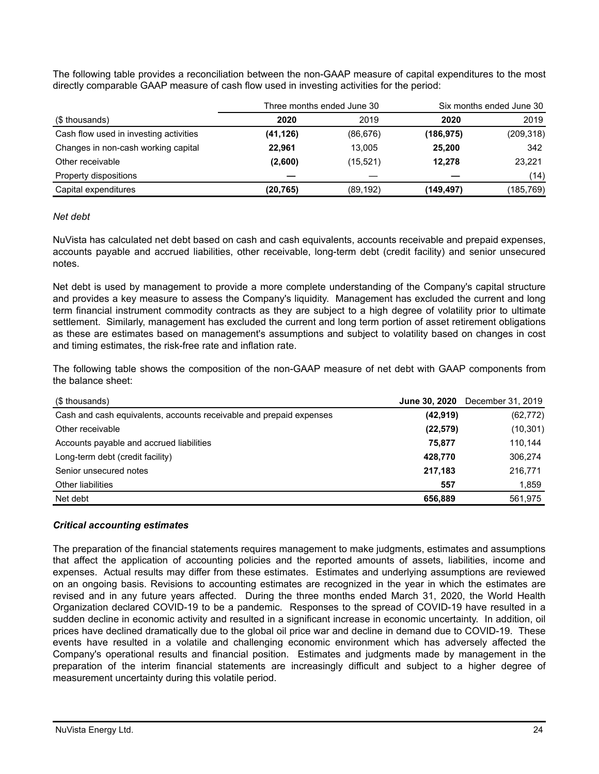The following table provides a reconciliation between the non-GAAP measure of capital expenditures to the most directly comparable GAAP measure of cash flow used in investing activities for the period:

|                                        | Three months ended June 30 |           | Six months ended June 30 |            |
|----------------------------------------|----------------------------|-----------|--------------------------|------------|
| (\$ thousands)                         | 2020                       | 2019      | 2020                     | 2019       |
| Cash flow used in investing activities | (41, 126)                  | (86, 676) | (186, 975)               | (209, 318) |
| Changes in non-cash working capital    | 22,961                     | 13.005    | 25,200                   | 342        |
| Other receivable                       | (2,600)                    | (15, 521) | 12.278                   | 23,221     |
| Property dispositions                  |                            |           |                          | (14)       |
| Capital expenditures                   | (20,765)                   | (89, 192) | (149.497)                | (185, 769) |

#### *Net debt*

NuVista has calculated net debt based on cash and cash equivalents, accounts receivable and prepaid expenses, accounts payable and accrued liabilities, other receivable, long-term debt (credit facility) and senior unsecured notes.

Net debt is used by management to provide a more complete understanding of the Company's capital structure and provides a key measure to assess the Company's liquidity. Management has excluded the current and long term financial instrument commodity contracts as they are subject to a high degree of volatility prior to ultimate settlement. Similarly, management has excluded the current and long term portion of asset retirement obligations as these are estimates based on management's assumptions and subject to volatility based on changes in cost and timing estimates, the risk-free rate and inflation rate.

The following table shows the composition of the non-GAAP measure of net debt with GAAP components from the balance sheet:

| (\$ thousands)                                                      | <b>June 30, 2020</b> | December 31, 2019 |
|---------------------------------------------------------------------|----------------------|-------------------|
| Cash and cash equivalents, accounts receivable and prepaid expenses | (42, 919)            | (62, 772)         |
| Other receivable                                                    | (22, 579)            | (10, 301)         |
| Accounts payable and accrued liabilities                            | 75.877               | 110.144           |
| Long-term debt (credit facility)                                    | 428.770              | 306,274           |
| Senior unsecured notes                                              | 217.183              | 216,771           |
| Other liabilities                                                   | 557                  | 1,859             |
| Net debt                                                            | 656.889              | 561,975           |

# *Critical accounting estimates*

The preparation of the financial statements requires management to make judgments, estimates and assumptions that affect the application of accounting policies and the reported amounts of assets, liabilities, income and expenses. Actual results may differ from these estimates. Estimates and underlying assumptions are reviewed on an ongoing basis. Revisions to accounting estimates are recognized in the year in which the estimates are revised and in any future years affected. During the three months ended March 31, 2020, the World Health Organization declared COVID-19 to be a pandemic. Responses to the spread of COVID-19 have resulted in a sudden decline in economic activity and resulted in a significant increase in economic uncertainty. In addition, oil prices have declined dramatically due to the global oil price war and decline in demand due to COVID-19. These events have resulted in a volatile and challenging economic environment which has adversely affected the Company's operational results and financial position. Estimates and judgments made by management in the preparation of the interim financial statements are increasingly difficult and subject to a higher degree of measurement uncertainty during this volatile period.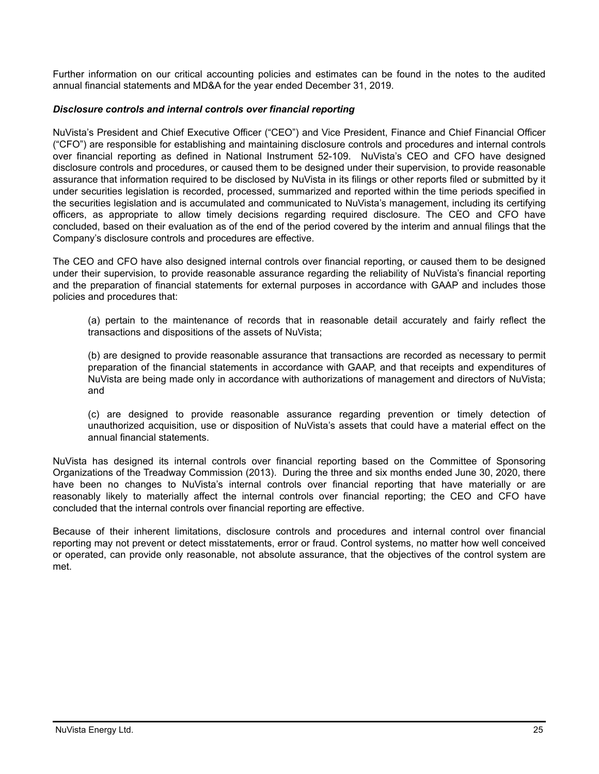Further information on our critical accounting policies and estimates can be found in the notes to the audited annual financial statements and MD&A for the year ended December 31, 2019.

#### *Disclosure controls and internal controls over financial reporting*

NuVista's President and Chief Executive Officer ("CEO") and Vice President, Finance and Chief Financial Officer ("CFO") are responsible for establishing and maintaining disclosure controls and procedures and internal controls over financial reporting as defined in National Instrument 52-109. NuVista's CEO and CFO have designed disclosure controls and procedures, or caused them to be designed under their supervision, to provide reasonable assurance that information required to be disclosed by NuVista in its filings or other reports filed or submitted by it under securities legislation is recorded, processed, summarized and reported within the time periods specified in the securities legislation and is accumulated and communicated to NuVista's management, including its certifying officers, as appropriate to allow timely decisions regarding required disclosure. The CEO and CFO have concluded, based on their evaluation as of the end of the period covered by the interim and annual filings that the Company's disclosure controls and procedures are effective.

The CEO and CFO have also designed internal controls over financial reporting, or caused them to be designed under their supervision, to provide reasonable assurance regarding the reliability of NuVista's financial reporting and the preparation of financial statements for external purposes in accordance with GAAP and includes those policies and procedures that:

(a) pertain to the maintenance of records that in reasonable detail accurately and fairly reflect the transactions and dispositions of the assets of NuVista;

(b) are designed to provide reasonable assurance that transactions are recorded as necessary to permit preparation of the financial statements in accordance with GAAP, and that receipts and expenditures of NuVista are being made only in accordance with authorizations of management and directors of NuVista; and

(c) are designed to provide reasonable assurance regarding prevention or timely detection of unauthorized acquisition, use or disposition of NuVista's assets that could have a material effect on the annual financial statements.

NuVista has designed its internal controls over financial reporting based on the Committee of Sponsoring Organizations of the Treadway Commission (2013). During the three and six months ended June 30, 2020, there have been no changes to NuVista's internal controls over financial reporting that have materially or are reasonably likely to materially affect the internal controls over financial reporting; the CEO and CFO have concluded that the internal controls over financial reporting are effective.

Because of their inherent limitations, disclosure controls and procedures and internal control over financial reporting may not prevent or detect misstatements, error or fraud. Control systems, no matter how well conceived or operated, can provide only reasonable, not absolute assurance, that the objectives of the control system are met.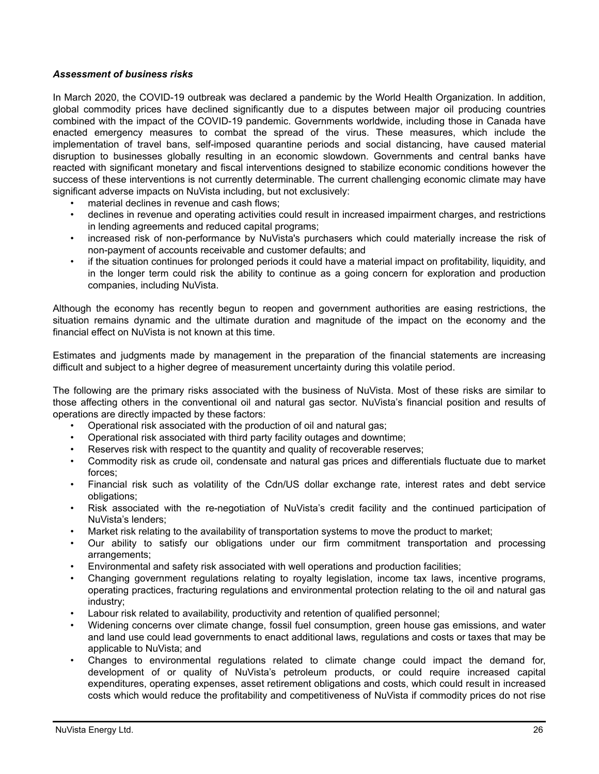# *Assessment of business risks*

In March 2020, the COVID-19 outbreak was declared a pandemic by the World Health Organization. In addition, global commodity prices have declined significantly due to a disputes between major oil producing countries combined with the impact of the COVID-19 pandemic. Governments worldwide, including those in Canada have enacted emergency measures to combat the spread of the virus. These measures, which include the implementation of travel bans, self-imposed quarantine periods and social distancing, have caused material disruption to businesses globally resulting in an economic slowdown. Governments and central banks have reacted with significant monetary and fiscal interventions designed to stabilize economic conditions however the success of these interventions is not currently determinable. The current challenging economic climate may have significant adverse impacts on NuVista including, but not exclusively:

- material declines in revenue and cash flows;
- declines in revenue and operating activities could result in increased impairment charges, and restrictions in lending agreements and reduced capital programs;
- increased risk of non-performance by NuVista's purchasers which could materially increase the risk of non-payment of accounts receivable and customer defaults; and
- if the situation continues for prolonged periods it could have a material impact on profitability, liquidity, and in the longer term could risk the ability to continue as a going concern for exploration and production companies, including NuVista.

Although the economy has recently begun to reopen and government authorities are easing restrictions, the situation remains dynamic and the ultimate duration and magnitude of the impact on the economy and the financial effect on NuVista is not known at this time.

Estimates and judgments made by management in the preparation of the financial statements are increasing difficult and subject to a higher degree of measurement uncertainty during this volatile period.

The following are the primary risks associated with the business of NuVista. Most of these risks are similar to those affecting others in the conventional oil and natural gas sector. NuVista's financial position and results of operations are directly impacted by these factors:

- Operational risk associated with the production of oil and natural gas;
- Operational risk associated with third party facility outages and downtime;
- Reserves risk with respect to the quantity and quality of recoverable reserves;
- Commodity risk as crude oil, condensate and natural gas prices and differentials fluctuate due to market forces;
- Financial risk such as volatility of the Cdn/US dollar exchange rate, interest rates and debt service obligations;
- Risk associated with the re-negotiation of NuVista's credit facility and the continued participation of NuVista's lenders;
- Market risk relating to the availability of transportation systems to move the product to market;
- Our ability to satisfy our obligations under our firm commitment transportation and processing arrangements;
- Environmental and safety risk associated with well operations and production facilities;
- Changing government regulations relating to royalty legislation, income tax laws, incentive programs, operating practices, fracturing regulations and environmental protection relating to the oil and natural gas industry;
- Labour risk related to availability, productivity and retention of qualified personnel;
- Widening concerns over climate change, fossil fuel consumption, green house gas emissions, and water and land use could lead governments to enact additional laws, regulations and costs or taxes that may be applicable to NuVista; and
- Changes to environmental regulations related to climate change could impact the demand for, development of or quality of NuVista's petroleum products, or could require increased capital expenditures, operating expenses, asset retirement obligations and costs, which could result in increased costs which would reduce the profitability and competitiveness of NuVista if commodity prices do not rise